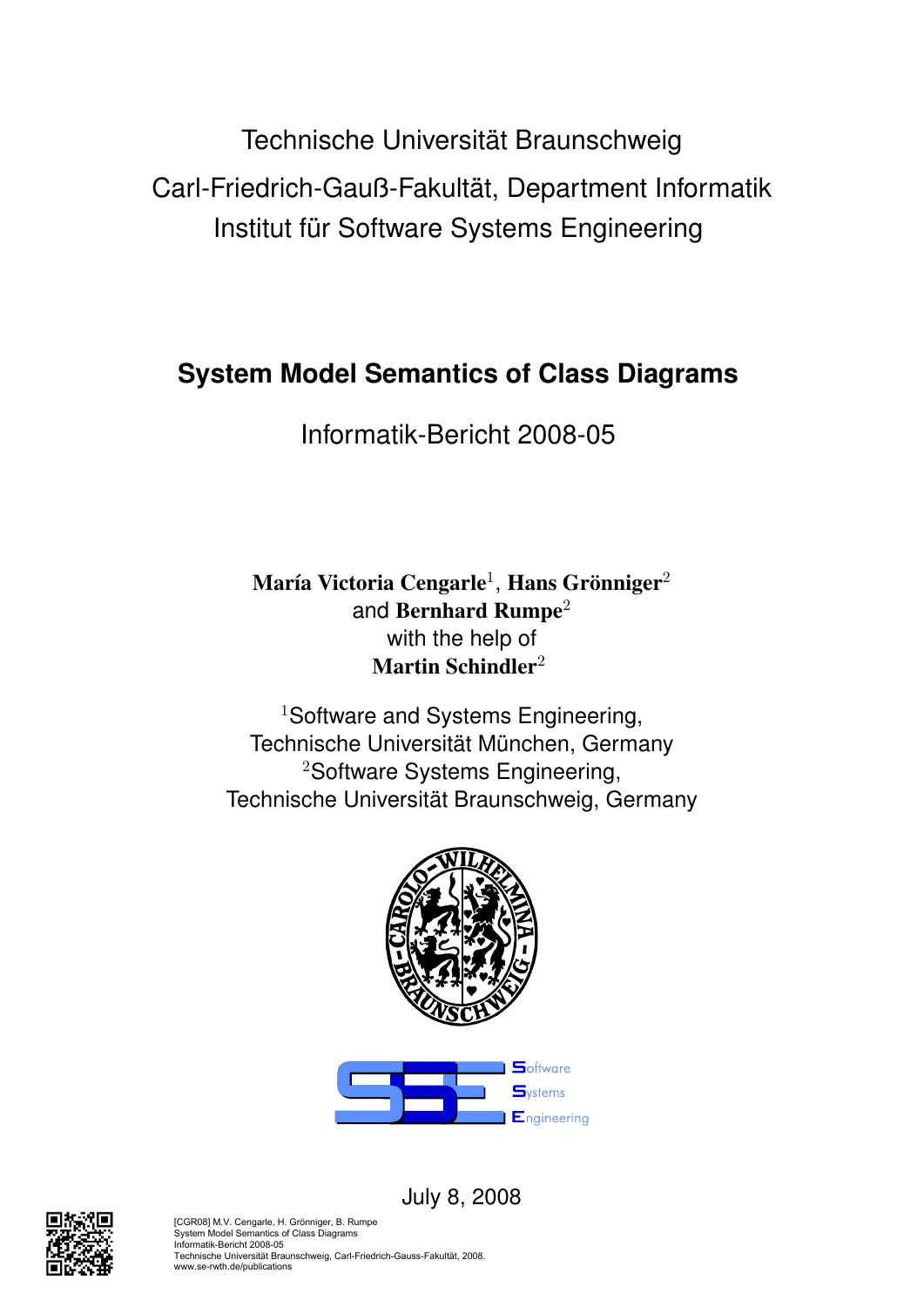Technische Universität Braunschweig Carl-Friedrich-Gauß-Fakultät, Department Informatik Institut für Software Systems Engineering

# **System Model Semantics of Class Diagrams**

Informatik-Bericht 2008-05

María Victoria Cengarle $^1$ , Hans Grönniger $^2$ and Bernhard Rumpe<sup>2</sup> with the help of Martin Schindler<sup>2</sup>

<sup>1</sup>Software and Systems Engineering, Technische Universität München, Germany <sup>2</sup>Software Systems Engineering, Technische Universität Braunschweig, Germany







[CGR08] M.V. Cengarle, H. Grönniger, B. Rumpe System Model Semantics of Class Diagrams Informatik-Bericht 2008-05 Technische Universität Braunschweig, Carl-Friedrich-Gauss-Fakultät, 2008. www.se-rwth.de/publications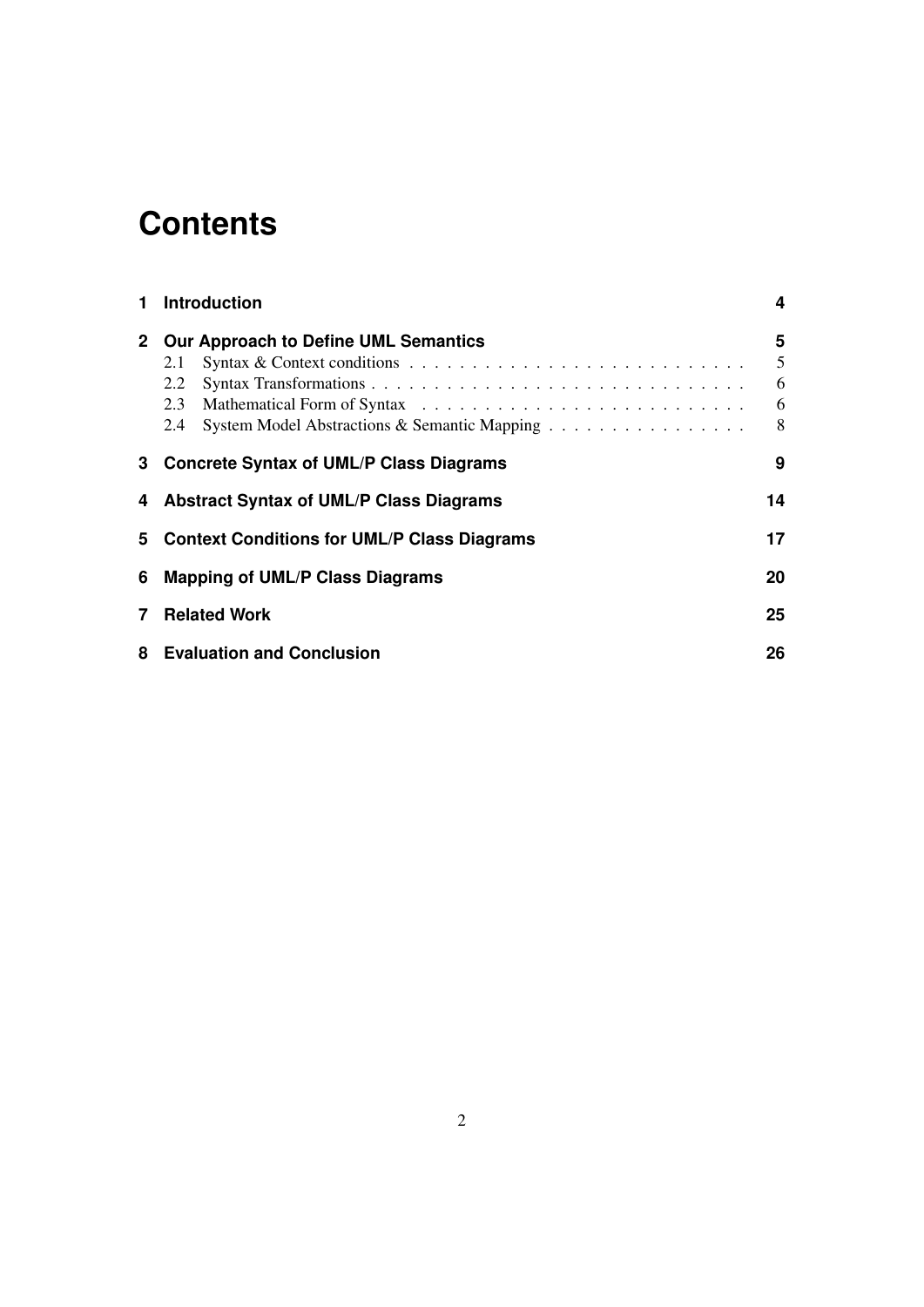# **Contents**

| 1.             | <b>Introduction</b><br><b>Our Approach to Define UML Semantics</b><br>Syntax & Context conditions $\ldots \ldots \ldots \ldots \ldots \ldots \ldots \ldots \ldots \ldots$<br>2.1<br>2.2<br>2.3<br>System Model Abstractions & Semantic Mapping<br>2.4 |  |  |  |  |  |
|----------------|-------------------------------------------------------------------------------------------------------------------------------------------------------------------------------------------------------------------------------------------------------|--|--|--|--|--|
| 2 <sup>1</sup> |                                                                                                                                                                                                                                                       |  |  |  |  |  |
| 3              | <b>Concrete Syntax of UML/P Class Diagrams</b><br>9                                                                                                                                                                                                   |  |  |  |  |  |
| 4              | <b>Abstract Syntax of UML/P Class Diagrams</b>                                                                                                                                                                                                        |  |  |  |  |  |
| 5              | 17<br><b>Context Conditions for UML/P Class Diagrams</b>                                                                                                                                                                                              |  |  |  |  |  |
| 6              | <b>Mapping of UML/P Class Diagrams</b>                                                                                                                                                                                                                |  |  |  |  |  |
| 7              | <b>Related Work</b>                                                                                                                                                                                                                                   |  |  |  |  |  |
| 8              | <b>Evaluation and Conclusion</b><br>26                                                                                                                                                                                                                |  |  |  |  |  |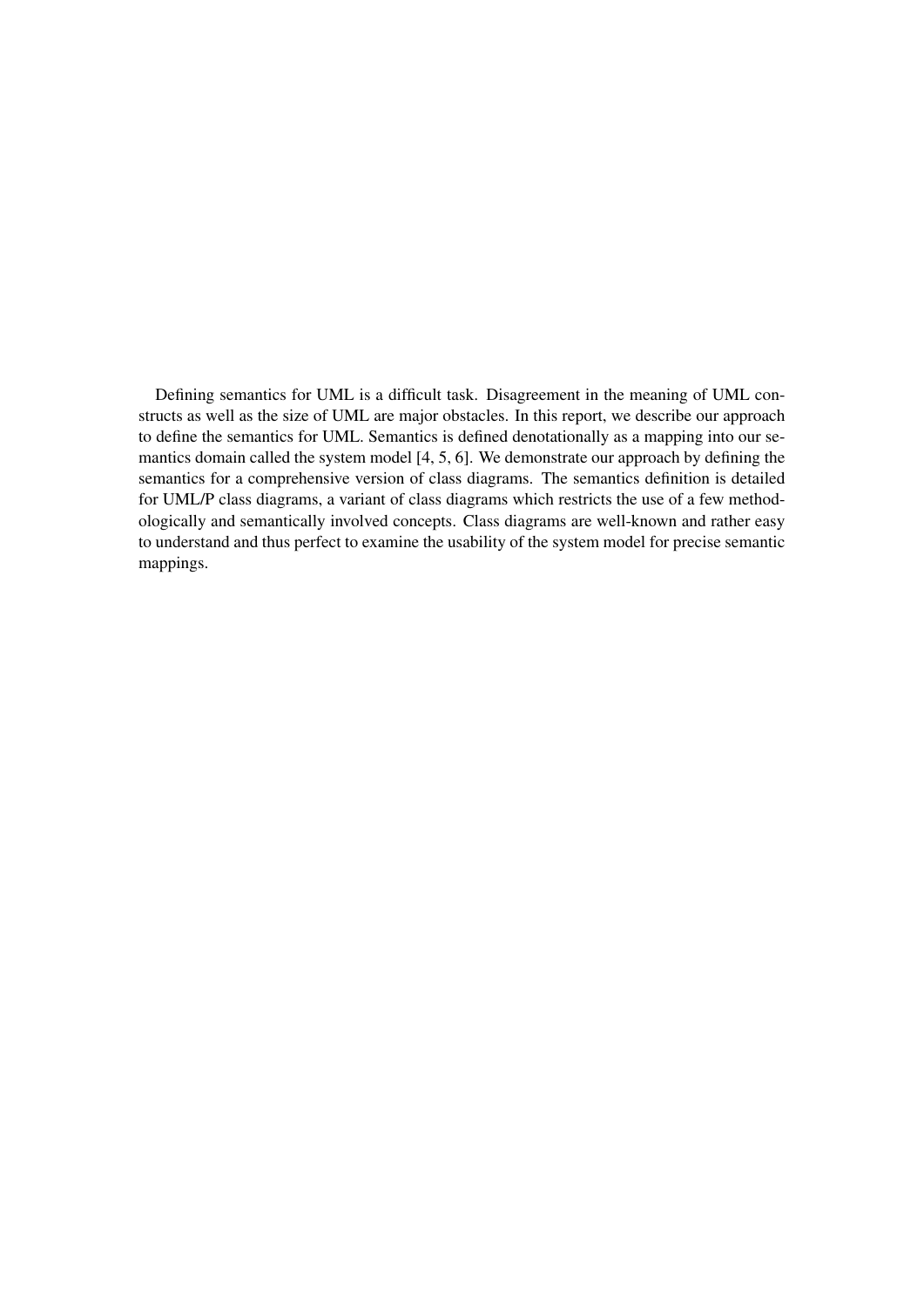Defining semantics for UML is a difficult task. Disagreement in the meaning of UML constructs as well as the size of UML are major obstacles. In this report, we describe our approach to define the semantics for UML. Semantics is defined denotationally as a mapping into our semantics domain called the system model [4, 5, 6]. We demonstrate our approach by defining the semantics for a comprehensive version of class diagrams. The semantics definition is detailed for UML/P class diagrams, a variant of class diagrams which restricts the use of a few methodologically and semantically involved concepts. Class diagrams are well-known and rather easy to understand and thus perfect to examine the usability of the system model for precise semantic mappings.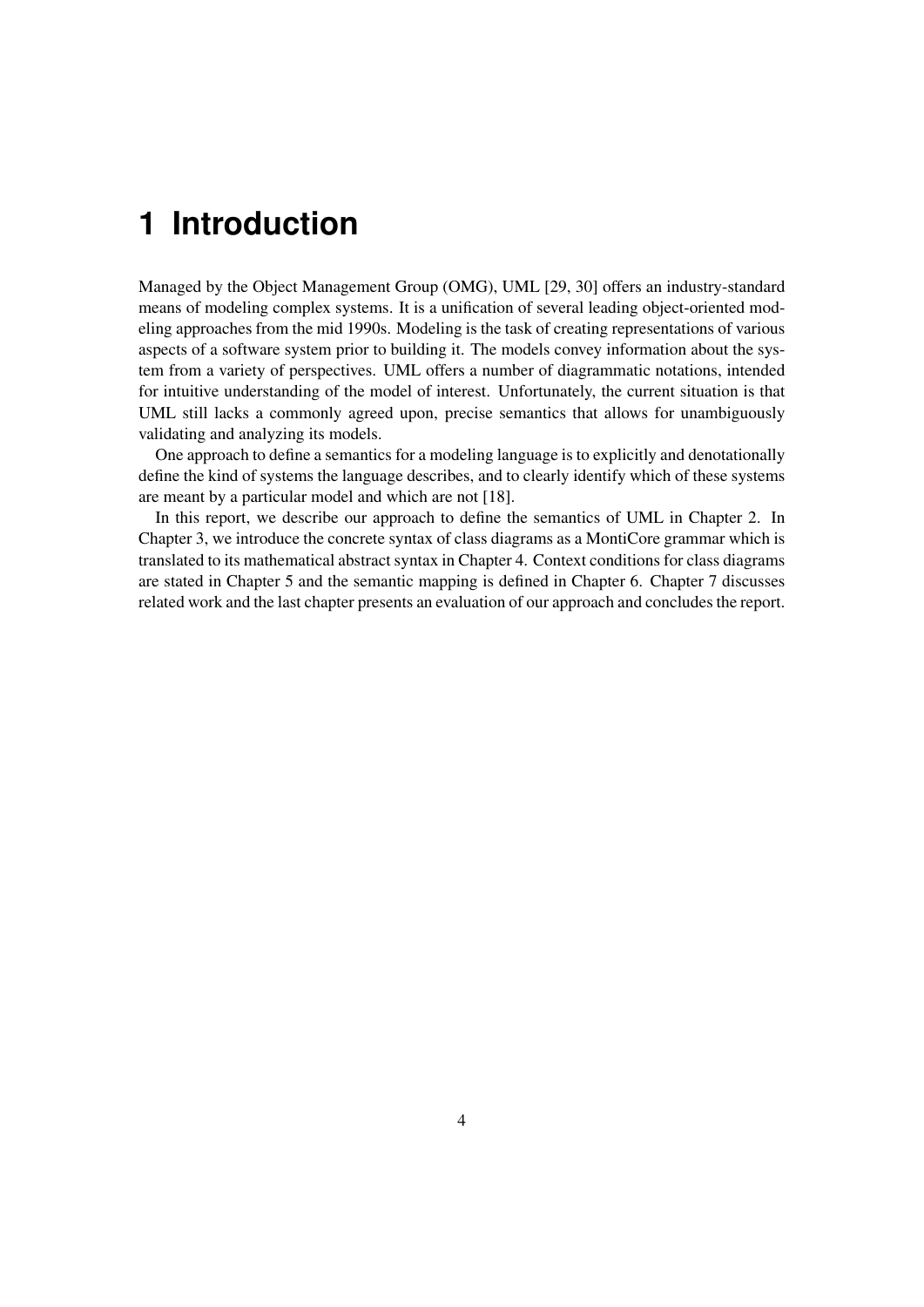# **1 Introduction**

Managed by the Object Management Group (OMG), UML [29, 30] offers an industry-standard means of modeling complex systems. It is a unification of several leading object-oriented modeling approaches from the mid 1990s. Modeling is the task of creating representations of various aspects of a software system prior to building it. The models convey information about the system from a variety of perspectives. UML offers a number of diagrammatic notations, intended for intuitive understanding of the model of interest. Unfortunately, the current situation is that UML still lacks a commonly agreed upon, precise semantics that allows for unambiguously validating and analyzing its models.

One approach to define a semantics for a modeling language is to explicitly and denotationally define the kind of systems the language describes, and to clearly identify which of these systems are meant by a particular model and which are not [18].

In this report, we describe our approach to define the semantics of UML in Chapter 2. In Chapter 3, we introduce the concrete syntax of class diagrams as a MontiCore grammar which is translated to its mathematical abstract syntax in Chapter 4. Context conditions for class diagrams are stated in Chapter 5 and the semantic mapping is defined in Chapter 6. Chapter 7 discusses related work and the last chapter presents an evaluation of our approach and concludes the report.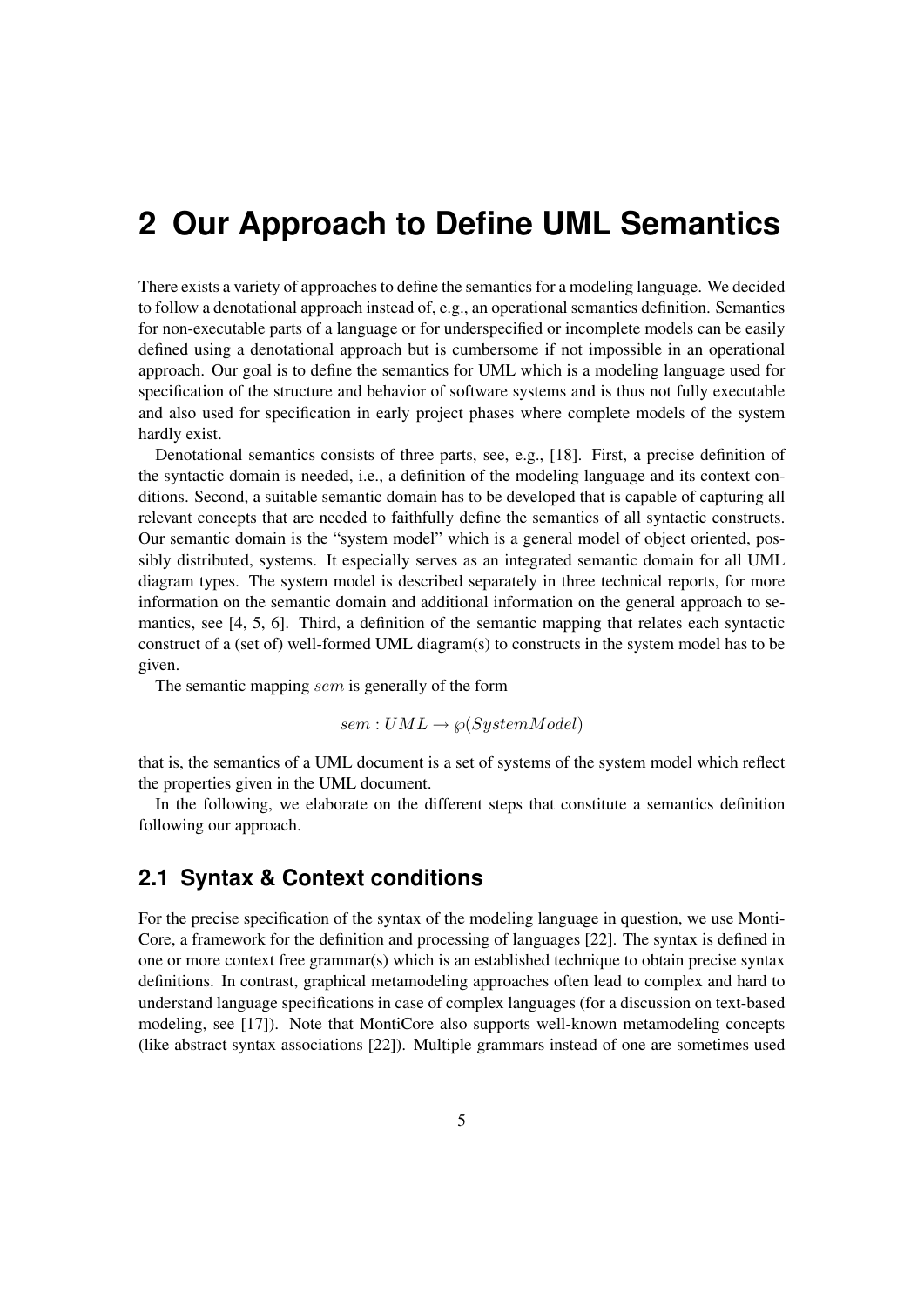## **2 Our Approach to Define UML Semantics**

There exists a variety of approaches to define the semantics for a modeling language. We decided to follow a denotational approach instead of, e.g., an operational semantics definition. Semantics for non-executable parts of a language or for underspecified or incomplete models can be easily defined using a denotational approach but is cumbersome if not impossible in an operational approach. Our goal is to define the semantics for UML which is a modeling language used for specification of the structure and behavior of software systems and is thus not fully executable and also used for specification in early project phases where complete models of the system hardly exist.

Denotational semantics consists of three parts, see, e.g., [18]. First, a precise definition of the syntactic domain is needed, i.e., a definition of the modeling language and its context conditions. Second, a suitable semantic domain has to be developed that is capable of capturing all relevant concepts that are needed to faithfully define the semantics of all syntactic constructs. Our semantic domain is the "system model" which is a general model of object oriented, possibly distributed, systems. It especially serves as an integrated semantic domain for all UML diagram types. The system model is described separately in three technical reports, for more information on the semantic domain and additional information on the general approach to semantics, see [4, 5, 6]. Third, a definition of the semantic mapping that relates each syntactic construct of a (set of) well-formed UML diagram(s) to constructs in the system model has to be given.

The semantic mapping sem is generally of the form

 $sem: UML \rightarrow \wp(SystemModel)$ 

that is, the semantics of a UML document is a set of systems of the system model which reflect the properties given in the UML document.

In the following, we elaborate on the different steps that constitute a semantics definition following our approach.

### **2.1 Syntax & Context conditions**

For the precise specification of the syntax of the modeling language in question, we use Monti-Core, a framework for the definition and processing of languages [22]. The syntax is defined in one or more context free grammar(s) which is an established technique to obtain precise syntax definitions. In contrast, graphical metamodeling approaches often lead to complex and hard to understand language specifications in case of complex languages (for a discussion on text-based modeling, see [17]). Note that MontiCore also supports well-known metamodeling concepts (like abstract syntax associations [22]). Multiple grammars instead of one are sometimes used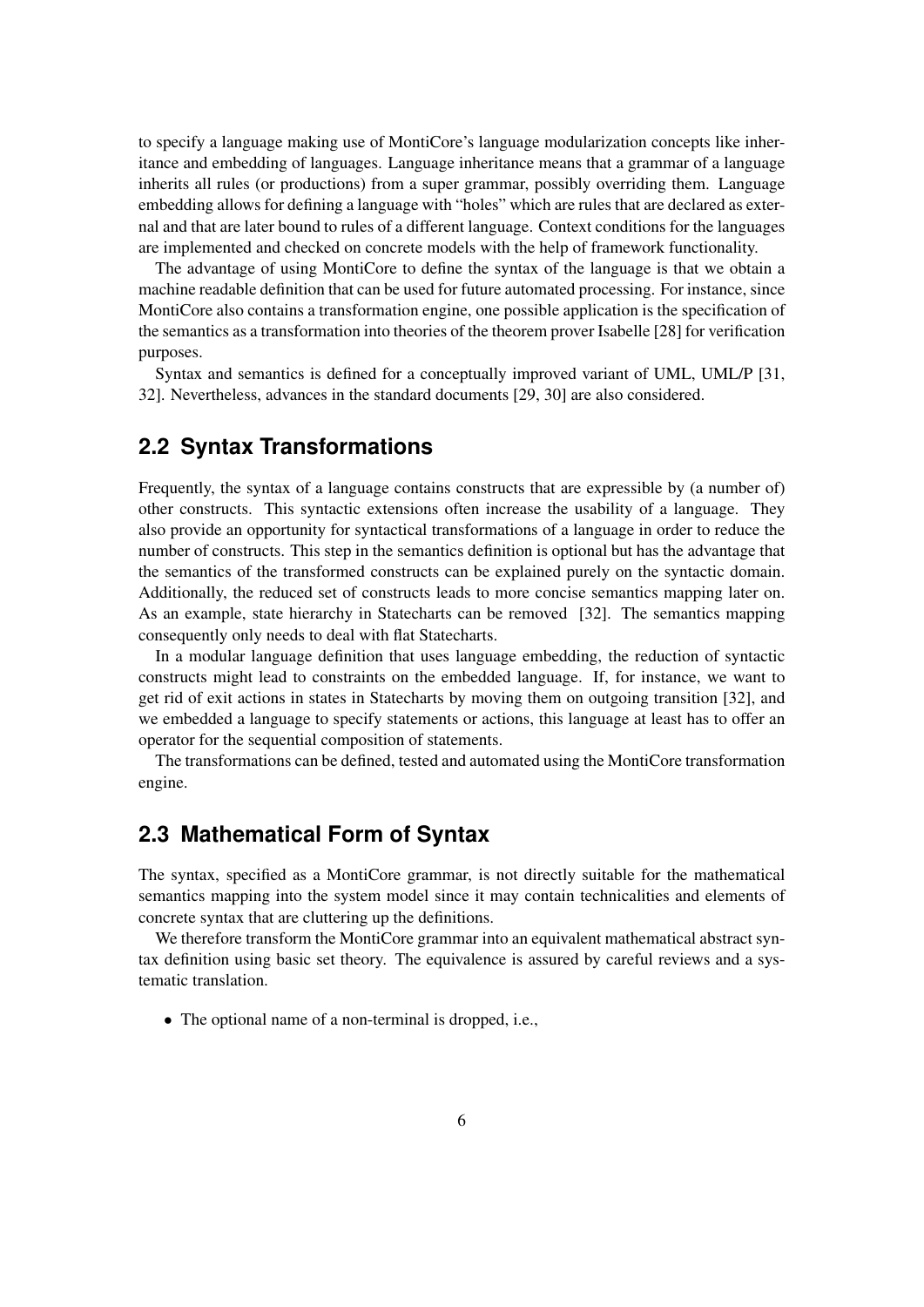to specify a language making use of MontiCore's language modularization concepts like inheritance and embedding of languages. Language inheritance means that a grammar of a language inherits all rules (or productions) from a super grammar, possibly overriding them. Language embedding allows for defining a language with "holes" which are rules that are declared as external and that are later bound to rules of a different language. Context conditions for the languages are implemented and checked on concrete models with the help of framework functionality.

The advantage of using MontiCore to define the syntax of the language is that we obtain a machine readable definition that can be used for future automated processing. For instance, since MontiCore also contains a transformation engine, one possible application is the specification of the semantics as a transformation into theories of the theorem prover Isabelle [28] for verification purposes.

Syntax and semantics is defined for a conceptually improved variant of UML, UML/P [31, 32]. Nevertheless, advances in the standard documents [29, 30] are also considered.

### **2.2 Syntax Transformations**

Frequently, the syntax of a language contains constructs that are expressible by (a number of) other constructs. This syntactic extensions often increase the usability of a language. They also provide an opportunity for syntactical transformations of a language in order to reduce the number of constructs. This step in the semantics definition is optional but has the advantage that the semantics of the transformed constructs can be explained purely on the syntactic domain. Additionally, the reduced set of constructs leads to more concise semantics mapping later on. As an example, state hierarchy in Statecharts can be removed [32]. The semantics mapping consequently only needs to deal with flat Statecharts.

In a modular language definition that uses language embedding, the reduction of syntactic constructs might lead to constraints on the embedded language. If, for instance, we want to get rid of exit actions in states in Statecharts by moving them on outgoing transition [32], and we embedded a language to specify statements or actions, this language at least has to offer an operator for the sequential composition of statements.

The transformations can be defined, tested and automated using the MontiCore transformation engine.

### **2.3 Mathematical Form of Syntax**

The syntax, specified as a MontiCore grammar, is not directly suitable for the mathematical semantics mapping into the system model since it may contain technicalities and elements of concrete syntax that are cluttering up the definitions.

We therefore transform the MontiCore grammar into an equivalent mathematical abstract syntax definition using basic set theory. The equivalence is assured by careful reviews and a systematic translation.

• The optional name of a non-terminal is dropped, i.e.,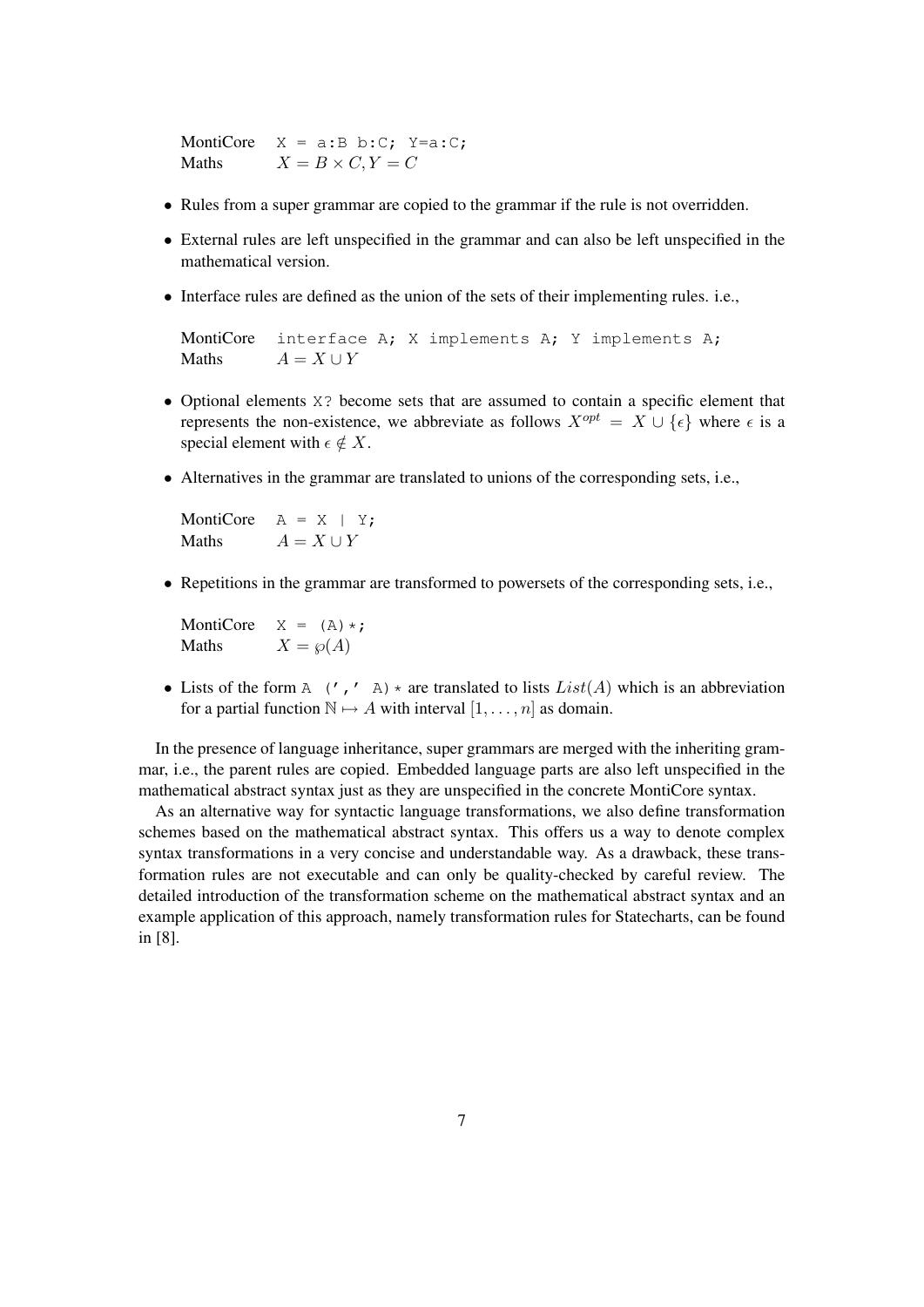MontiCore  $X = a:B b:C; Y=a:C;$ Maths  $X = B \times C, Y = C$ 

- Rules from a super grammar are copied to the grammar if the rule is not overridden.
- External rules are left unspecified in the grammar and can also be left unspecified in the mathematical version.
- Interface rules are defined as the union of the sets of their implementing rules. i.e.,

MontiCore interface A; X implements A; Y implements A; Maths  $A = X \cup Y$ 

- Optional elements X? become sets that are assumed to contain a specific element that represents the non-existence, we abbreviate as follows  $X^{opt} = X \cup \{\epsilon\}$  where  $\epsilon$  is a special element with  $\epsilon \notin X$ .
- Alternatives in the grammar are translated to unions of the corresponding sets, i.e.,

MontiCore  $A = X \mid Y$ : Maths  $A = X \cup Y$ 

• Repetitions in the grammar are transformed to powersets of the corresponding sets, i.e.,

MontiCore  $X = (A) * j$ Maths  $X = \wp(A)$ 

• Lists of the form A  $(', ' A) *$  are translated to lists  $List(A)$  which is an abbreviation for a partial function  $\mathbb{N} \mapsto A$  with interval  $[1, \ldots, n]$  as domain.

In the presence of language inheritance, super grammars are merged with the inheriting grammar, i.e., the parent rules are copied. Embedded language parts are also left unspecified in the mathematical abstract syntax just as they are unspecified in the concrete MontiCore syntax.

As an alternative way for syntactic language transformations, we also define transformation schemes based on the mathematical abstract syntax. This offers us a way to denote complex syntax transformations in a very concise and understandable way. As a drawback, these transformation rules are not executable and can only be quality-checked by careful review. The detailed introduction of the transformation scheme on the mathematical abstract syntax and an example application of this approach, namely transformation rules for Statecharts, can be found in [8].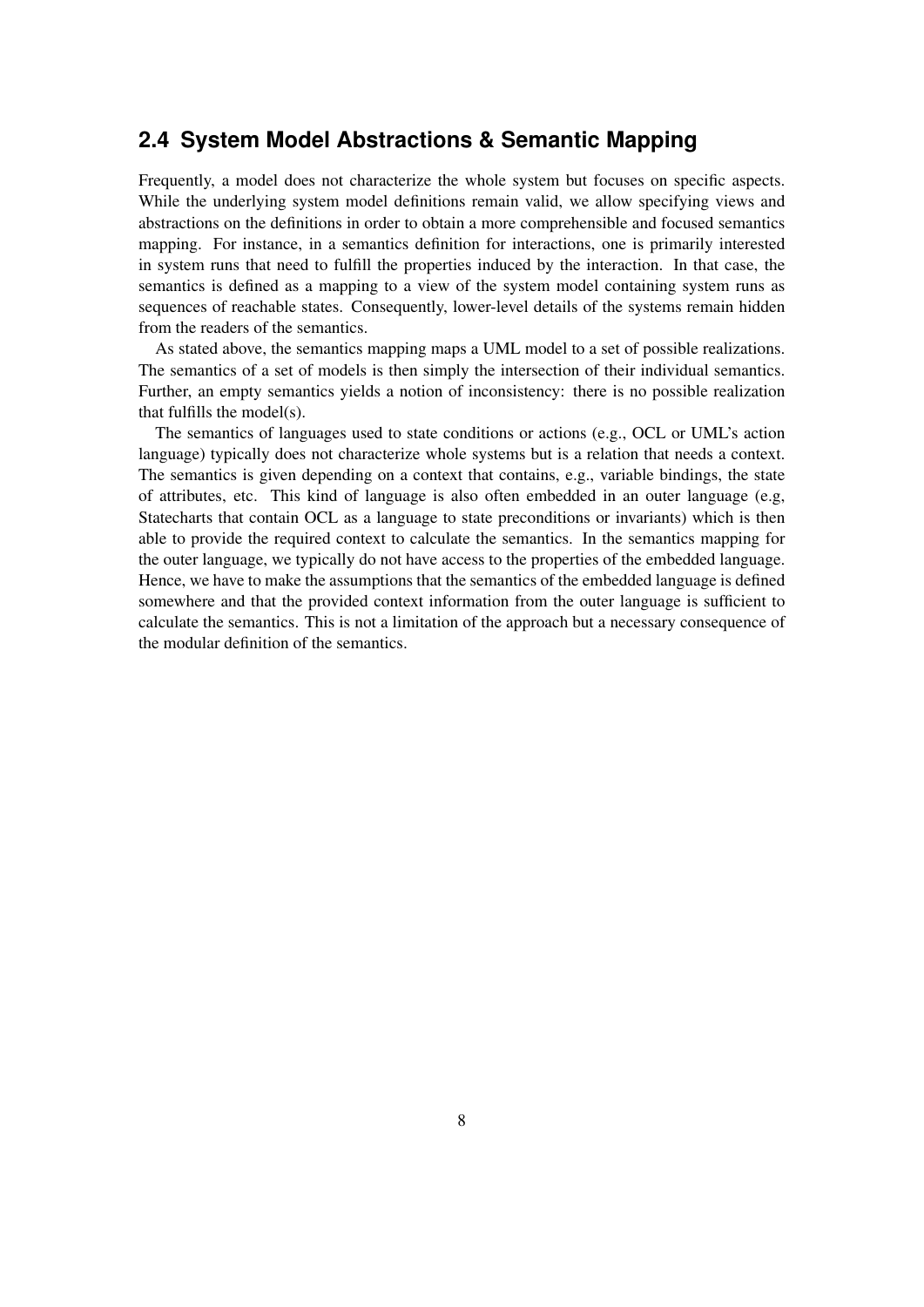### **2.4 System Model Abstractions & Semantic Mapping**

Frequently, a model does not characterize the whole system but focuses on specific aspects. While the underlying system model definitions remain valid, we allow specifying views and abstractions on the definitions in order to obtain a more comprehensible and focused semantics mapping. For instance, in a semantics definition for interactions, one is primarily interested in system runs that need to fulfill the properties induced by the interaction. In that case, the semantics is defined as a mapping to a view of the system model containing system runs as sequences of reachable states. Consequently, lower-level details of the systems remain hidden from the readers of the semantics.

As stated above, the semantics mapping maps a UML model to a set of possible realizations. The semantics of a set of models is then simply the intersection of their individual semantics. Further, an empty semantics yields a notion of inconsistency: there is no possible realization that fulfills the model(s).

The semantics of languages used to state conditions or actions (e.g., OCL or UML's action language) typically does not characterize whole systems but is a relation that needs a context. The semantics is given depending on a context that contains, e.g., variable bindings, the state of attributes, etc. This kind of language is also often embedded in an outer language (e.g, Statecharts that contain OCL as a language to state preconditions or invariants) which is then able to provide the required context to calculate the semantics. In the semantics mapping for the outer language, we typically do not have access to the properties of the embedded language. Hence, we have to make the assumptions that the semantics of the embedded language is defined somewhere and that the provided context information from the outer language is sufficient to calculate the semantics. This is not a limitation of the approach but a necessary consequence of the modular definition of the semantics.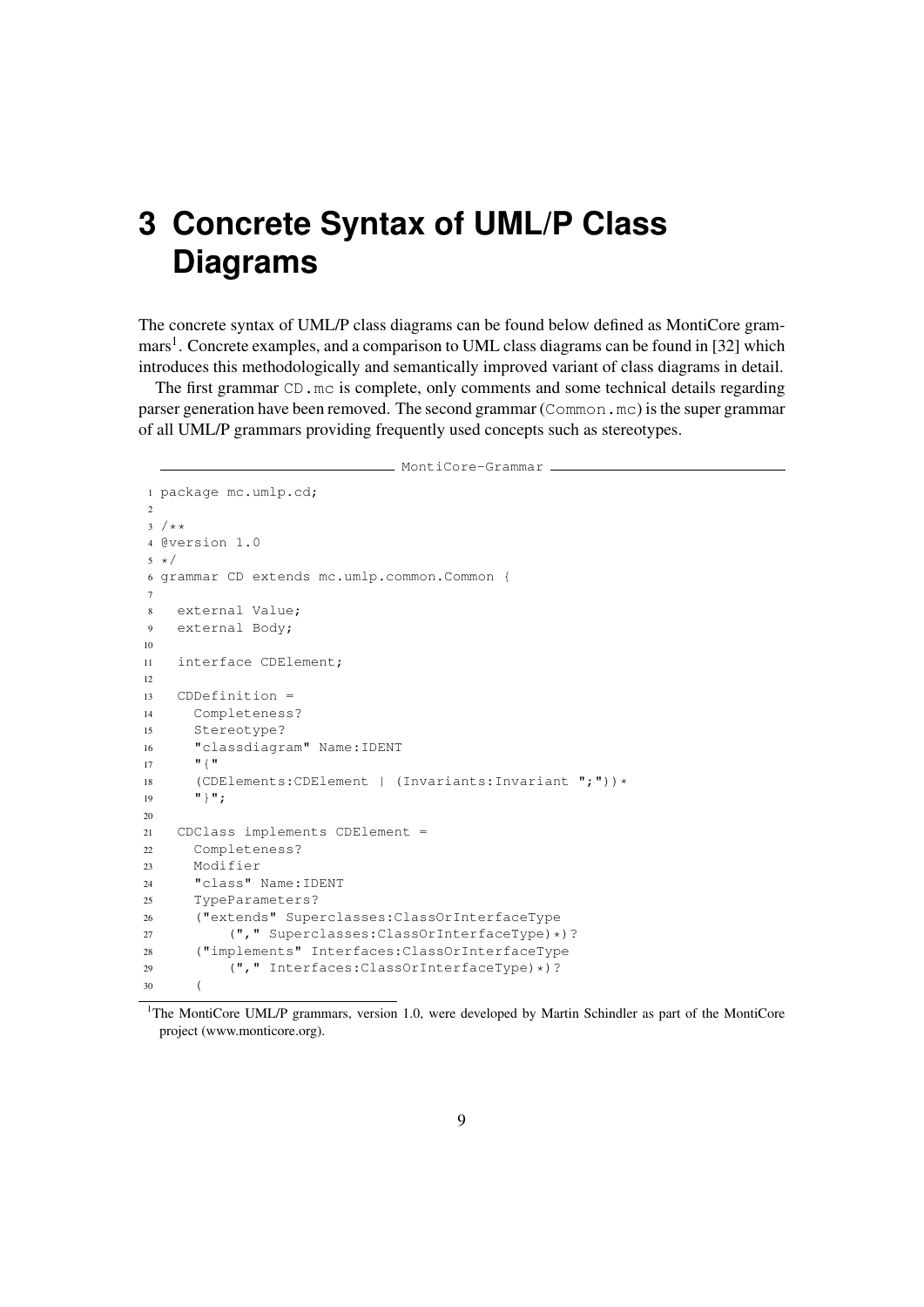# **3 Concrete Syntax of UML/P Class Diagrams**

The concrete syntax of UML/P class diagrams can be found below defined as MontiCore grammars<sup>1</sup>. Concrete examples, and a comparison to UML class diagrams can be found in [32] which introduces this methodologically and semantically improved variant of class diagrams in detail.

The first grammar CD, mc is complete, only comments and some technical details regarding parser generation have been removed. The second grammar (Common.mc) is the super grammar of all UML/P grammars providing frequently used concepts such as stereotypes.

```
MontiCore-Grammar
1 package mc.umlp.cd;
2
3 / * *4 @version 1.0
5 * /6 grammar CD extends mc.umlp.common.Common {
7
8 external Value;
9 external Body;
10
11 interface CDElement;
12
13 CDDefinition =
14 Completeness?
15 Stereotype?
16 "classdiagram" Name:IDENT
17 \mathbf{H} \{ \mathbf{H}18 (CDElements:CDElement | (Invariants:Invariant ";"))*
19 \cdots "}";
20
21 CDClass implements CDElement =
22 Completeness?
23 Modifier
24 "class" Name:IDENT
25 TypeParameters?
26 ("extends" Superclasses:ClassOrInterfaceType
27 ("," Superclasses:ClassOrInterfaceType)*)?
28 ("implements" Interfaces:ClassOrInterfaceType
29 ("," Interfaces:ClassOrInterfaceType)*)?
30 (
```
<sup>&</sup>lt;sup>1</sup>The MontiCore UML/P grammars, version 1.0, were developed by Martin Schindler as part of the MontiCore project (www.monticore.org).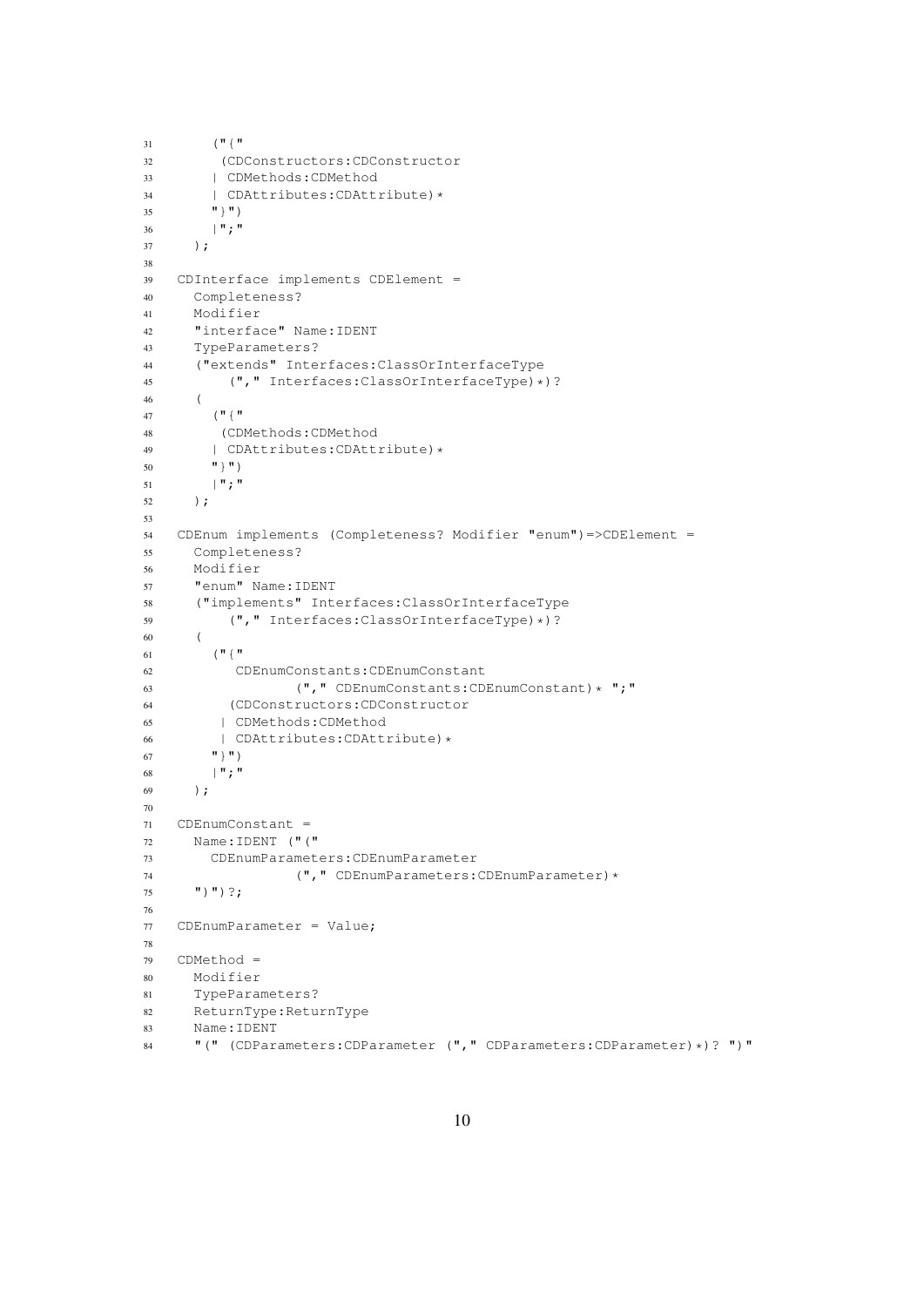```
31 \left( "\left\{ "\right\} "
32 (CDConstructors:CDConstructor
33 | CDMethods:CDMethod
34 | CDAttributes: CDAttribute) *
35 " "}")
36 | "; "
37 );
38
39 CDInterface implements CDElement =
40 Completeness?
41 Modifier
42 "interface" Name:IDENT
43 TypeParameters?
44 ("extends" Interfaces:ClassOrInterfaceType
45 (", " Interfaces: ClassOrInterfaceType) *) ?
46 (
47 ("{"
48 (CDMethods:CDMethod
49 | CDAttributes: CDAttribute) *
50 \mathbf{H} \parallel \mathbf{H}51 | "; "
52 );
53
54 CDEnum implements (Completeness? Modifier "enum")=>CDElement =
55 Completeness?
56 Modifier
57 "enum" Name:IDENT
58 ("implements" Interfaces:ClassOrInterfaceType
59 ("," Interfaces:ClassOrInterfaceType)*)?
60 (
61 \left( "\left\{ "\right\}"
62 CDEnumConstants:CDEnumConstant
63 (", " CDEnumConstraints: CDEnumConstraints<br>64 (CDConstructures: CDConstructor64 (CDConstructors:CDConstructor
65 | CDMethods:CDMethod
66 | CDAttributes:CDAttribute)*
67 \mathbf{m} \uparrow \mathbf{m})
68 | "; "
69 );
70
71 CDEnumConstant =
72 Name:IDENT ("("
73 CDEnumParameters:CDEnumParameter
74 (", "CDEnumParameters: CDEnumParameter) *
75 '') ') ?;
76
77 CDEnumParameter = Value;
78
79 CDMethod =
80 Modifier
81 TypeParameters?
82 ReturnType:ReturnType
83 Name:IDENT
84 "(" (CDParameters:CDParameter ("," CDParameters:CDParameter)*)? ")"
```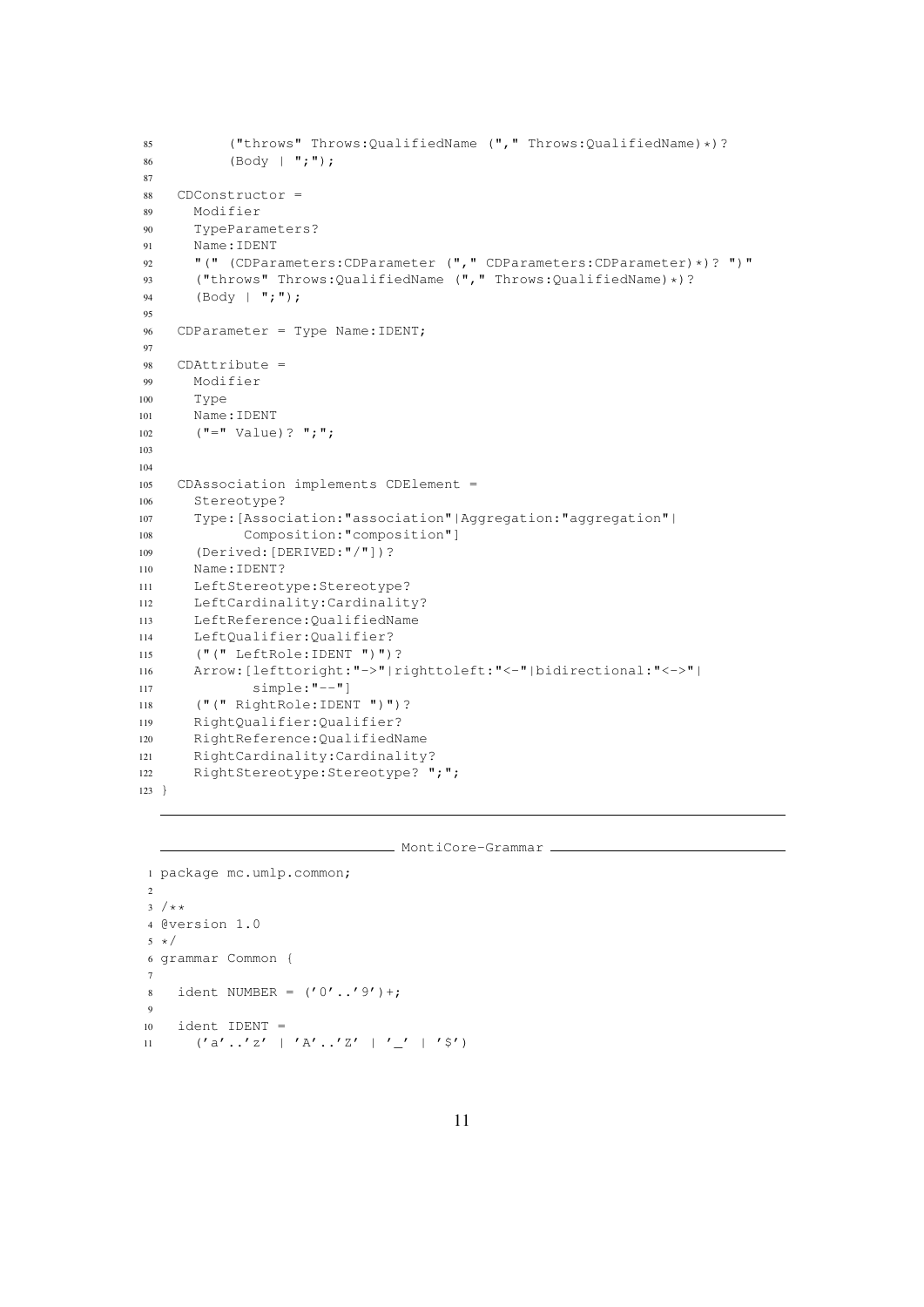```
85 ("throws" Throws:QualifiedName ("," Throws:QualifiedName)*)?
86 (Body | ";");
87
88 CDConstructor =
89 Modifier
90 TypeParameters?
91 Name:IDENT
92 "(" (CDParameters: CDParameter (", " CDParameters: CDParameter) *)? ")"
93 ("throws" Throws:QualifiedName ("," Throws:QualifiedName) *)?<br>94 (Body | ":"):
      (Body | ";");95
96 CDParameter = Type Name:IDENT;
97
98 CDAttribute =
99 Modifier
100 Type
101 Name:IDENT
102 ("=" Value)? ";";103
104
105 CDAssociation implements CDElement =
106 Stereotype?
107 Type:[Association:"association"|Aggregation:"aggregation"|
108 Composition:"composition"]
109 (Derived:[DERIVED:"/"])?
110 Name:IDENT?
111 LeftStereotype:Stereotype?
112 LeftCardinality:Cardinality?
113 LeftReference:QualifiedName
114 LeftQualifier:Qualifier?
115 ("(" LeftRole:IDENT ")")?
116 Arrow:[lefttoright:"->"|righttoleft:"<-"|bidirectional:"<->"|
117 simple:"--"]
118 ("(" RightRole:IDENT ")")?
119 RightQualifier:Qualifier?
120 RightReference:QualifiedName
121 RightCardinality:Cardinality?
122 RightStereotype: Stereotype? ";";
123 }
```

```
- MontiCore-Grammar
```

```
1 package mc.umlp.common;
\overline{2}3 / * *4 @version 1.0
5 * /6 grammar Common {
7
8 ident NUMBER = ('0'..'9')+;9
10 ident IDENT =
11 ('a'.'.'z' + 'A'.'.'z' + '_-'z' + 's')
```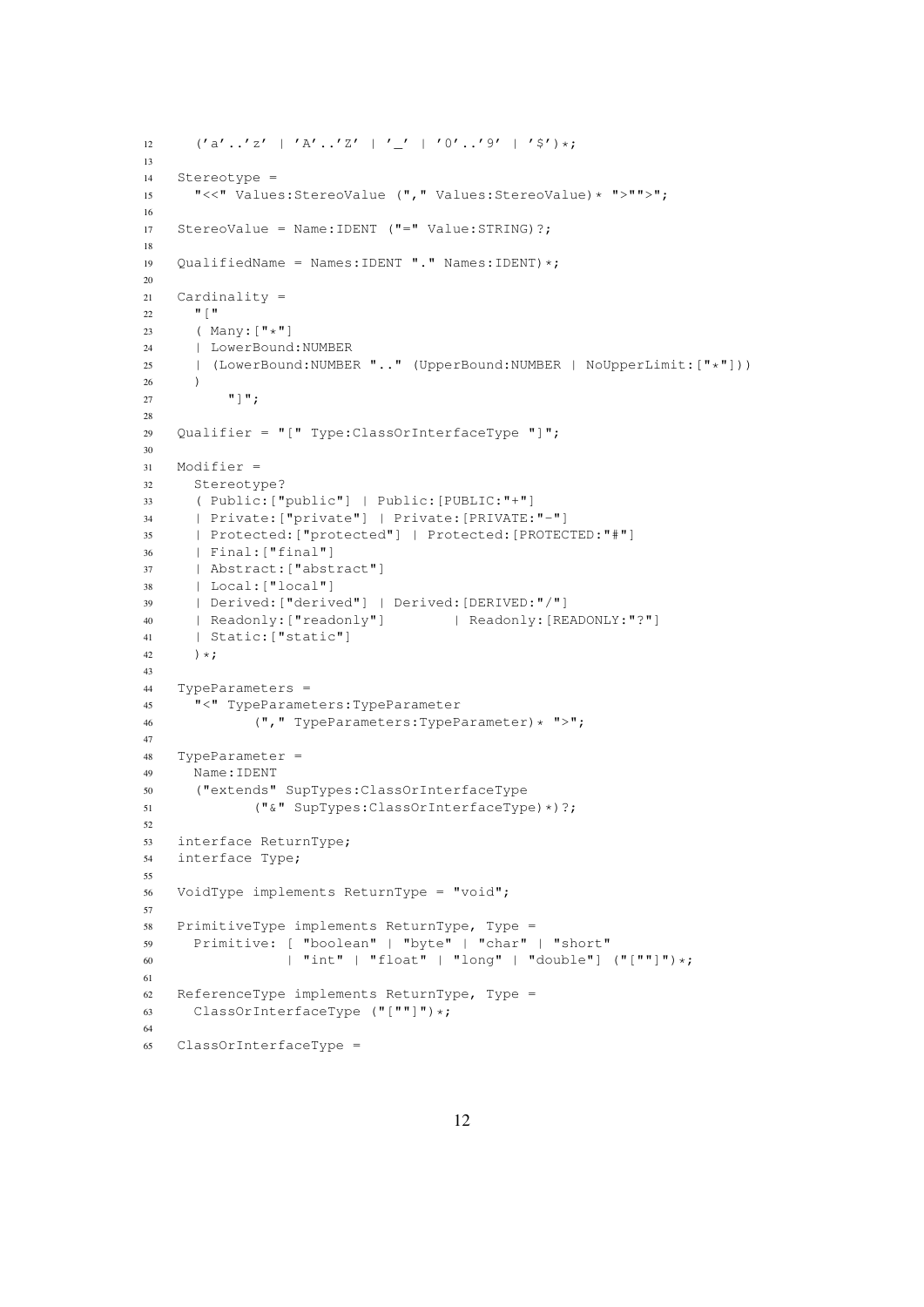```
12 ('a'.'.'z' | 'A'.'.'z' | '-'' | '0'.'.'9' | '$')\star;13
14 Stereotype =
15 "<<" Values:StereoValue ("," Values:StereoValue)* ">"">";
16
17 StereoValue = Name:IDENT ("=" Value:STRING)?;
18
19 QualifiedName = Names:IDENT "." Names:IDENT) *;
20
21 Cardinality =
22 \blacksquare \blacksquare23 (Many:\begin{bmatrix} \mathbf{w} \star \mathbf{w} \\ 24 \end{bmatrix} (Many:\begin{bmatrix} \mathbf{w} \\ \mathbf{w} \star \mathbf{w} \end{bmatrix}| LowerBound:NUMBER
25 | (LowerBound:NUMBER ".." (UpperBound:NUMBER | NoUpperLimit:["*"]))
26 )
27 \blacksquare]\blacksquare;
28
29 Qualifier = "[" Type:ClassOrInterfaceType "]";
30
31 Modifier =
32 Stereotype?
33 ( Public:["public"] | Public:[PUBLIC:"+"]
34 | Private:["private"] | Private:[PRIVATE:"-"]
35 | Protected:["protected"] | Protected:[PROTECTED:"#"]
36 | Final:["final"]
37 | Abstract:["abstract"]
38 | Local:["local"]
39 | Derived:["derived"] | Derived:[DERIVED:"/"]
40 | Readonly: ["readonly"] | Readonly: [READONLY: "?"]
41 | Static:["static"]
42 ) *;
43
44 TypeParameters =
45 "<" TypeParameters:TypeParameter
46 (", " TypeParameters: TypeParameter) * ">";
47
48 TypeParameter =
49 Name:IDENT
50 ("extends" SupTypes:ClassOrInterfaceType
51 ("&" SupTypes:ClassOrInterfaceType)*)?;
52
53 interface ReturnType;
54 interface Type;
55
56 VoidType implements ReturnType = "void";
57
58 PrimitiveType implements ReturnType, Type =
59 Primitive: [ "boolean" | "byte" | "char" | "short"
60 | "int" | "float" | "long" | "double"] ("[""]")*;
61
62 ReferenceType implements ReturnType, Type =
63 ClassOrInterfaceType ("[""]")*;
64
65 ClassOrInterfaceType =
```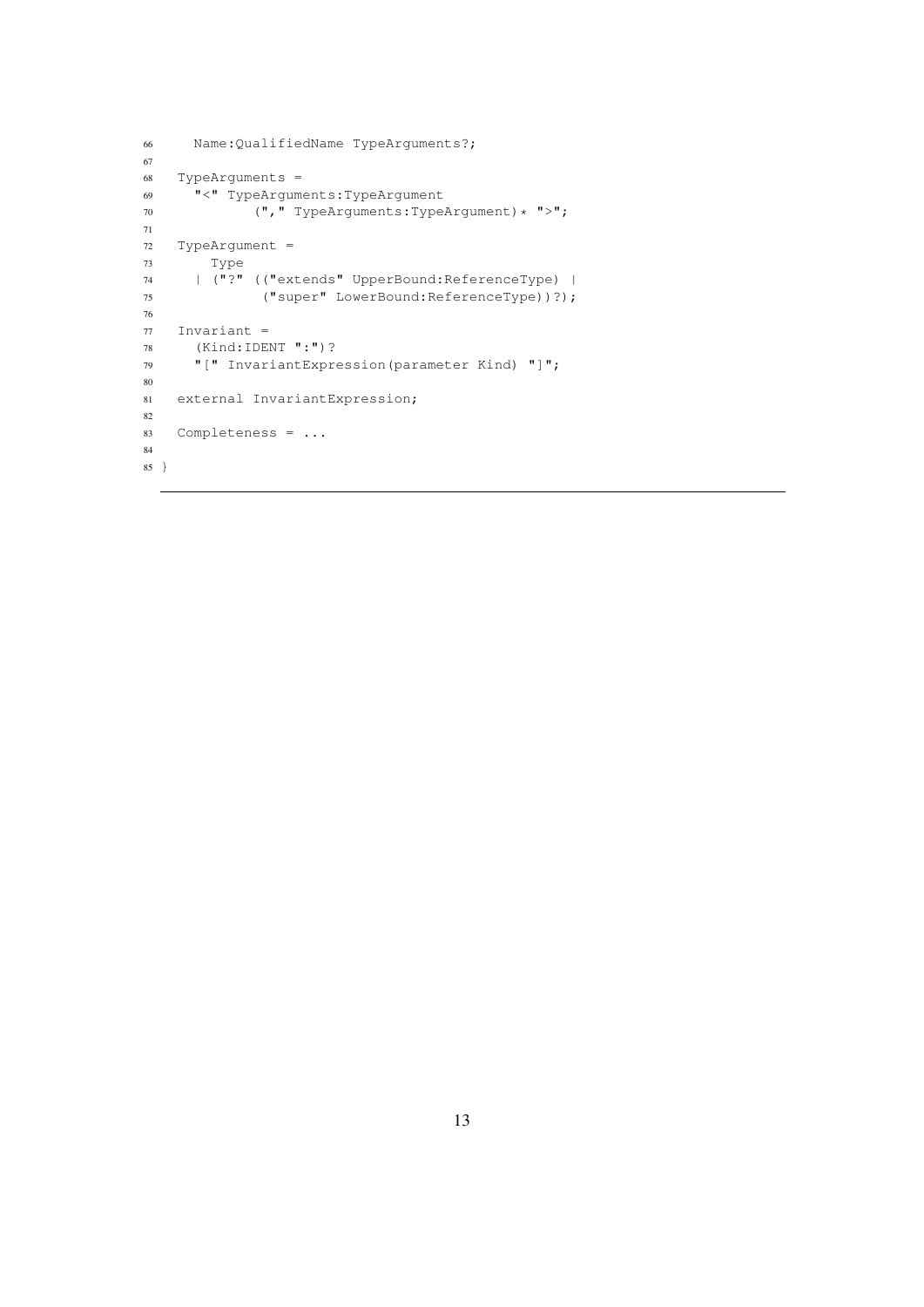```
66 Name:QualifiedName TypeArguments?;
67
68 TypeArguments =
69 "<" TypeArguments:TypeArgument
70 (", " TypeArguments:TypeArgument)* ">";
71
72 TypeArgument =
73 Type
74 | ("?" (("extends" UpperBound:ReferenceType) |
75 ("super" LowerBound:ReferenceType))?);
76
77 Invariant =
78 (Kind:IDENT ":")?
79 "[" InvariantExpression(parameter Kind) "]";
80
81 external InvariantExpression;
82
83 Completeness = ...
84
85 }
```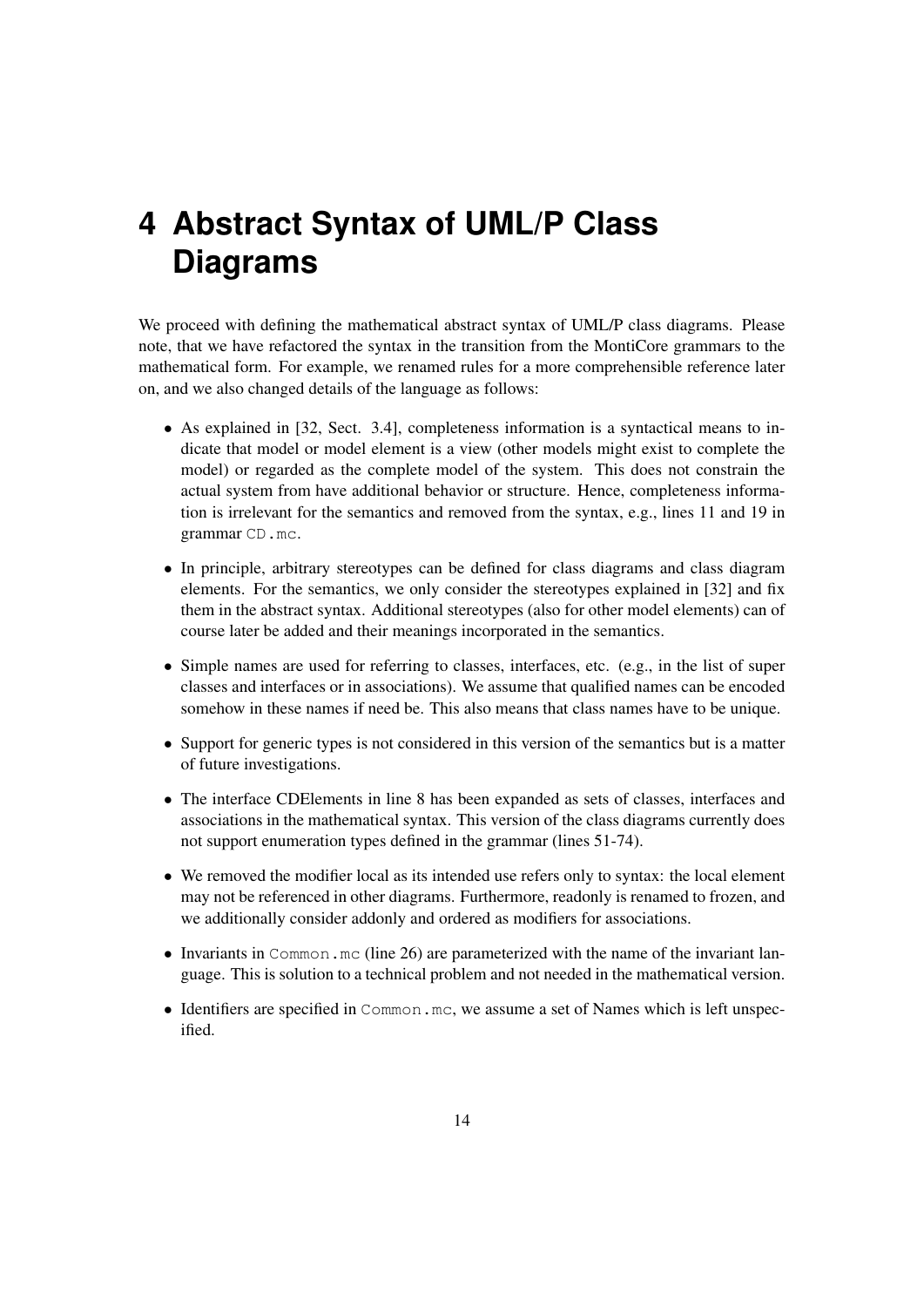# **4 Abstract Syntax of UML/P Class Diagrams**

We proceed with defining the mathematical abstract syntax of UML/P class diagrams. Please note, that we have refactored the syntax in the transition from the MontiCore grammars to the mathematical form. For example, we renamed rules for a more comprehensible reference later on, and we also changed details of the language as follows:

- As explained in [32, Sect. 3.4], completeness information is a syntactical means to indicate that model or model element is a view (other models might exist to complete the model) or regarded as the complete model of the system. This does not constrain the actual system from have additional behavior or structure. Hence, completeness information is irrelevant for the semantics and removed from the syntax, e.g., lines 11 and 19 in grammar CD.mc.
- In principle, arbitrary stereotypes can be defined for class diagrams and class diagram elements. For the semantics, we only consider the stereotypes explained in [32] and fix them in the abstract syntax. Additional stereotypes (also for other model elements) can of course later be added and their meanings incorporated in the semantics.
- Simple names are used for referring to classes, interfaces, etc. (e.g., in the list of super classes and interfaces or in associations). We assume that qualified names can be encoded somehow in these names if need be. This also means that class names have to be unique.
- Support for generic types is not considered in this version of the semantics but is a matter of future investigations.
- The interface CDElements in line 8 has been expanded as sets of classes, interfaces and associations in the mathematical syntax. This version of the class diagrams currently does not support enumeration types defined in the grammar (lines 51-74).
- We removed the modifier local as its intended use refers only to syntax: the local element may not be referenced in other diagrams. Furthermore, readonly is renamed to frozen, and we additionally consider addonly and ordered as modifiers for associations.
- Invariants in Common.mc (line 26) are parameterized with the name of the invariant language. This is solution to a technical problem and not needed in the mathematical version.
- Identifiers are specified in Common.mc, we assume a set of Names which is left unspecified.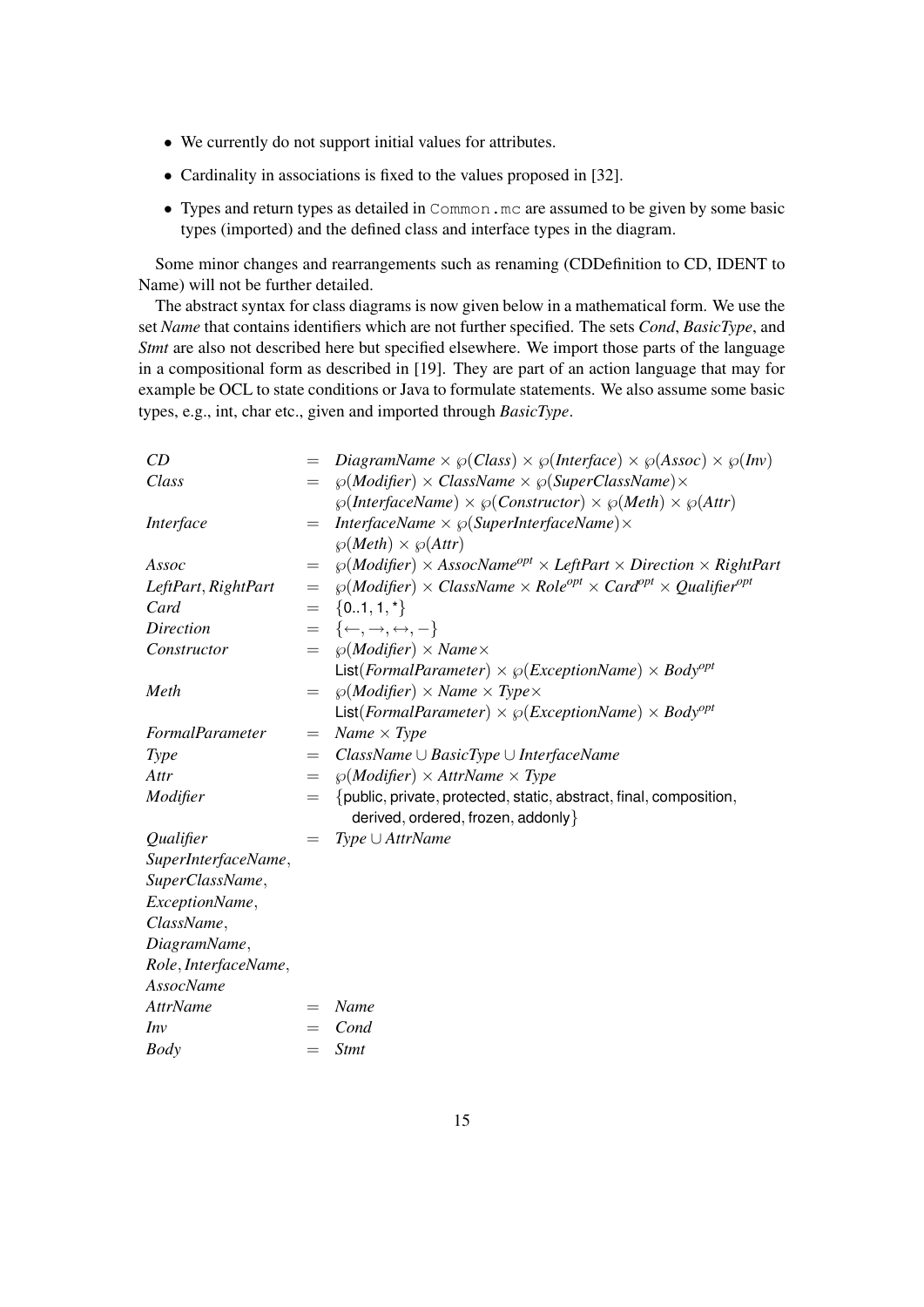- We currently do not support initial values for attributes.
- Cardinality in associations is fixed to the values proposed in [32].
- Types and return types as detailed in Common.mc are assumed to be given by some basic types (imported) and the defined class and interface types in the diagram.

Some minor changes and rearrangements such as renaming (CDDefinition to CD, IDENT to Name) will not be further detailed.

The abstract syntax for class diagrams is now given below in a mathematical form. We use the set *Name* that contains identifiers which are not further specified. The sets *Cond*, *BasicType*, and *Stmt* are also not described here but specified elsewhere. We import those parts of the language in a compositional form as described in [19]. They are part of an action language that may for example be OCL to state conditions or Java to formulate statements. We also assume some basic types, e.g., int, char etc., given and imported through *BasicType*.

| CD                   | $=$             | DiagramName $\times \wp(Class) \times \wp(Interface) \times \wp(Assoc) \times \wp(Inv)$    |
|----------------------|-----------------|--------------------------------------------------------------------------------------------|
| Class                | $=$             | $\wp(Modifer) \times ClassName \times \wp(SuperClassName) \times$                          |
|                      |                 | $\wp(InterfaceName) \times \wp(Constructor) \times \wp(Method) \times \wp(Attr)$           |
| Interface            | $=$             | InterfaceName $\times \wp(\text{SuperInterfaceName}) \times$                               |
|                      |                 | $\wp(Meth) \times \wp(Attr)$                                                               |
| Assoc                | $=$             | $\wp(Modifer) \times AssocName^{opt} \times LeftPart \times Direction \times RightPart$    |
| LeftPart, RightPart  | $\!\!\!=\!\!\!$ | $\wp(Modifer) \times ClassName \times Role^{opt} \times Card^{opt} \times Qualifier^{opt}$ |
| Card                 | $=$             | $\{01,1,*\}$                                                                               |
| Direction            | $\!\!\!=\!\!\!$ | $\{\leftarrow, \rightarrow, \leftrightarrow, -\}$                                          |
| Constructor          | $=$             | $\wp(Modifier) \times Name \times$                                                         |
|                      |                 | List( <i>FormalParameter</i> ) $\times \wp (ExceptionName) \times Body^{opt}$              |
| Meth                 | $=$             | $\wp$ ( <i>Modifier</i> ) $\times$ <i>Name</i> $\times$ <i>Type</i> $\times$               |
|                      |                 | List( <i>FormalParameter</i> ) $\times \wp (ExceptionName) \times Body^{opt}$              |
| FormalParameter      | $=$             | Name $\times$ Type                                                                         |
| <b>Type</b>          | $=$             | $ClassName \cup BasicType \cup InterfaceName$                                              |
| Attr                 | $=$             | $\wp(Modifier) \times AttrName \times Type$                                                |
| Modifier             | $=$             | {public, private, protected, static, abstract, final, composition,                         |
|                      |                 | derived, ordered, frozen, addonly }                                                        |
| Qualifier            | $=$             | $Type \cup AttrName$                                                                       |
| SuperInterfaceName,  |                 |                                                                                            |
| SuperClassName,      |                 |                                                                                            |
| ExceptionName,       |                 |                                                                                            |
| ClassName,           |                 |                                                                                            |
| DiagramName,         |                 |                                                                                            |
| Role, InterfaceName, |                 |                                                                                            |
| <b>AssocName</b>     |                 |                                                                                            |
| <b>AttrName</b>      | $=$             | Name                                                                                       |
| Inv                  |                 | Cond                                                                                       |
| <b>Body</b>          | $=$             | <b>Stmt</b>                                                                                |
|                      |                 |                                                                                            |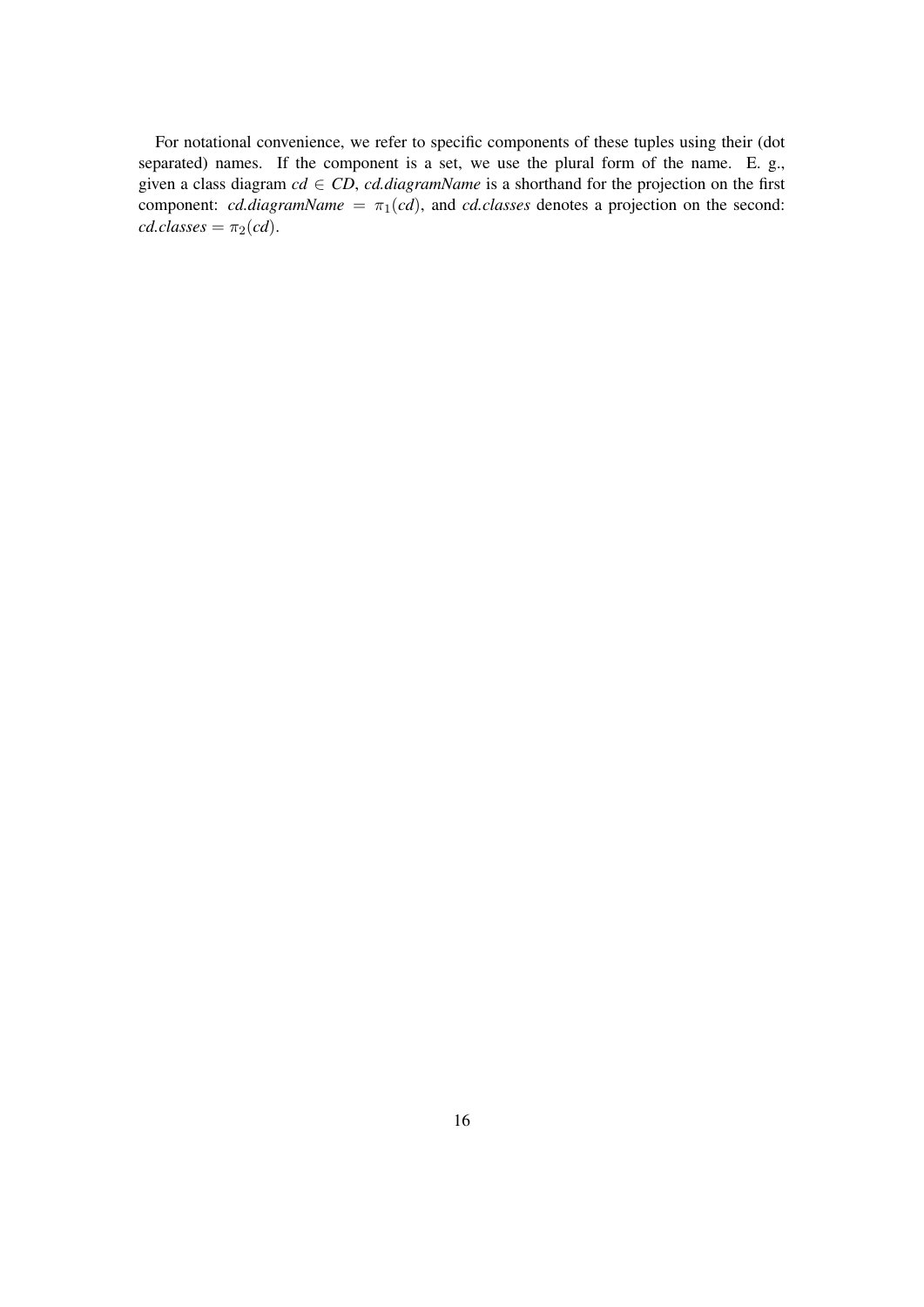For notational convenience, we refer to specific components of these tuples using their (dot separated) names. If the component is a set, we use the plural form of the name. E. g., given a class diagram  $cd \in CD$ , *cd.diagramName* is a shorthand for the projection on the first component: *cd.diagramName* =  $\pi_1(cd)$ , and *cd.classes* denotes a projection on the second:  $cd.classes = \pi_2(cd).$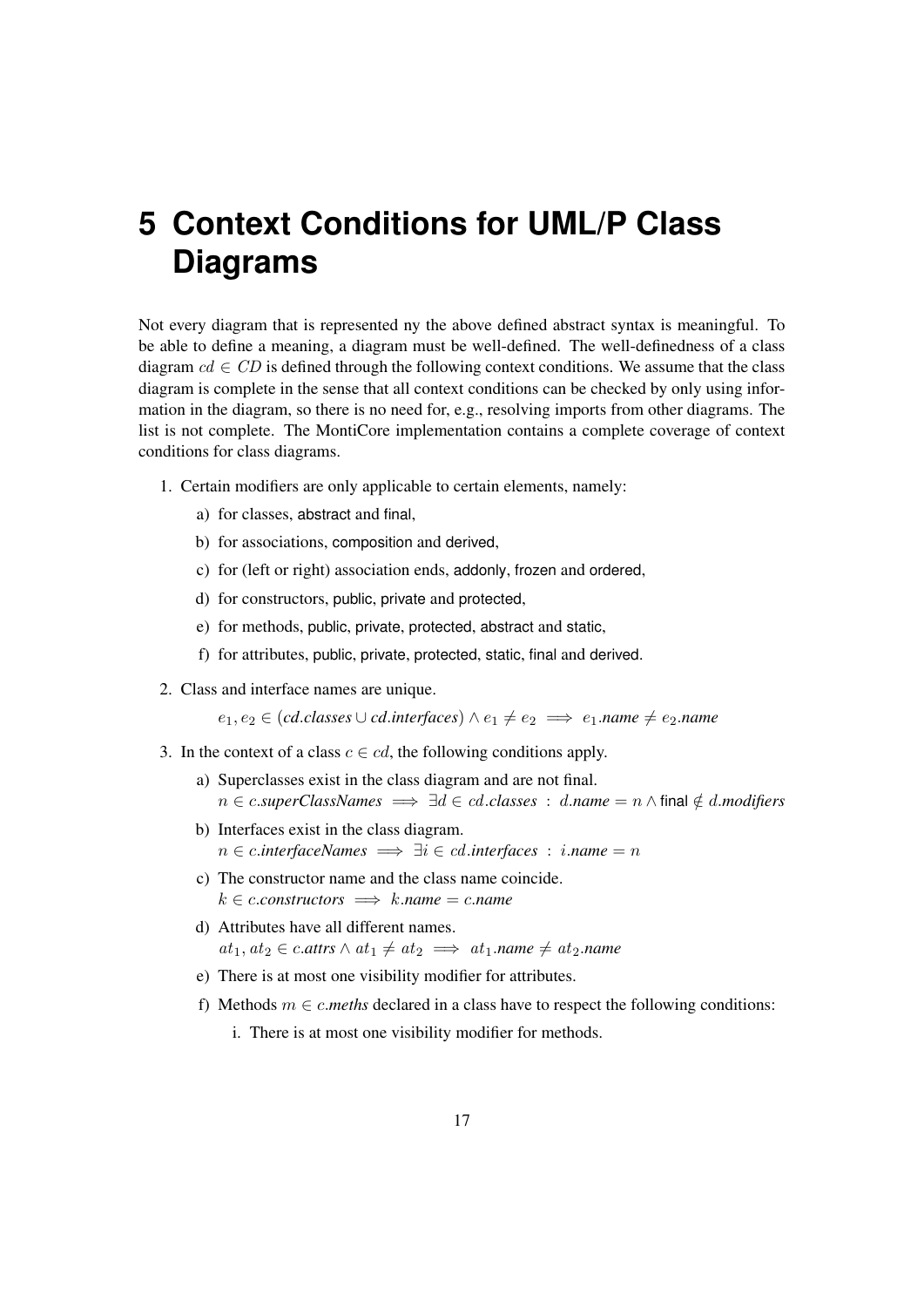# **5 Context Conditions for UML/P Class Diagrams**

Not every diagram that is represented ny the above defined abstract syntax is meaningful. To be able to define a meaning, a diagram must be well-defined. The well-definedness of a class diagram  $cd \in CD$  is defined through the following context conditions. We assume that the class diagram is complete in the sense that all context conditions can be checked by only using information in the diagram, so there is no need for, e.g., resolving imports from other diagrams. The list is not complete. The MontiCore implementation contains a complete coverage of context conditions for class diagrams.

- 1. Certain modifiers are only applicable to certain elements, namely:
	- a) for classes, abstract and final,
	- b) for associations, composition and derived,
	- c) for (left or right) association ends, addonly, frozen and ordered,
	- d) for constructors, public, private and protected,
	- e) for methods, public, private, protected, abstract and static,
	- f) for attributes, public, private, protected, static, final and derived.
- 2. Class and interface names are unique.

 $e_1, e_2 \in (cd.classes \cup cd.interfaces) \land e_1 \neq e_2 \implies e_1.name \neq e_2.name$ 

- 3. In the context of a class  $c \in cd$ , the following conditions apply.
	- a) Superclasses exist in the class diagram and are not final. n ∈ c.*superClassNames* =⇒ ∃d ∈ cd.*classes* : d.*name* = n ∧ final ∈/ d.*modifiers*
	- b) Interfaces exist in the class diagram. n ∈ c.*interfaceNames* =⇒ ∃i ∈ cd.*interfaces* : i.*name* = n
	- c) The constructor name and the class name coincide.  $k \in \text{c.constructors} \implies k.name = c.name$
	- d) Attributes have all different names.  $at_1, at_2 \in c \cdot *atrs* \wedge at_1 \neq at_2 \implies at_1 \cdot *name* \neq at_2 \cdot *name*$
	- e) There is at most one visibility modifier for attributes.
	- f) Methods  $m \in c$ *meths* declared in a class have to respect the following conditions:
		- i. There is at most one visibility modifier for methods.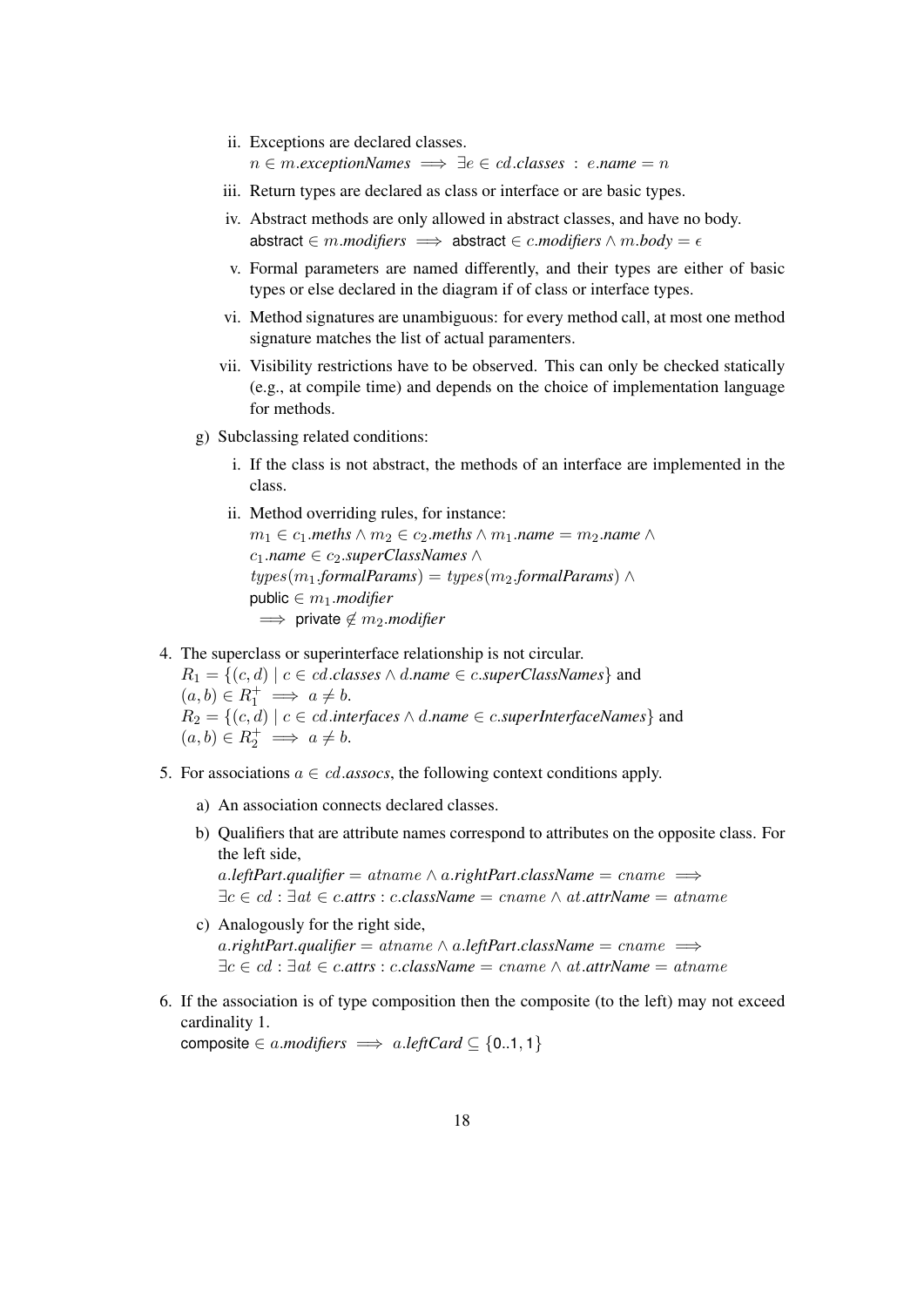- ii. Exceptions are declared classes.  $n \in m$ . exceptionNames  $\implies \exists e \in cd$ . classes : e. name  $=n$
- iii. Return types are declared as class or interface or are basic types.
- iv. Abstract methods are only allowed in abstract classes, and have no body. abstract  $\in$  *m.modifiers*  $\implies$  abstract  $\in$  *c.modifiers*  $\wedge$  *m.body* =  $\epsilon$
- v. Formal parameters are named differently, and their types are either of basic types or else declared in the diagram if of class or interface types.
- vi. Method signatures are unambiguous: for every method call, at most one method signature matches the list of actual paramenters.
- vii. Visibility restrictions have to be observed. This can only be checked statically (e.g., at compile time) and depends on the choice of implementation language for methods.
- g) Subclassing related conditions:
	- i. If the class is not abstract, the methods of an interface are implemented in the class.
	- ii. Method overriding rules, for instance:

 $m_1 \in c_1$ *.meths*  $\wedge m_2 \in c_2$ *.meths*  $\wedge m_1$ *.name* =  $m_2$ *.name*  $\wedge$ c1.*name* ∈ c2.*superClassNames* ∧  $types(m_1.formal~Params) = types(m_2.formal~Params)$  ∧ public  $\in m_1$ *.modifier*  $\implies$  private  $\notin$  m<sub>2</sub>.*modifier* 

4. The superclass or superinterface relationship is not circular.

 $R_1 = \{(c, d) \mid c \in cd.classes \land d.name \in c.superClassNames\}$  and  $(a, b) \in R_1^+ \implies a \neq b.$  $R_2 = \{(c, d) \mid c \in cd.\mathit{interfaces} \land d.\mathit{name} \in c.\mathit{superInterfaceNames}\}\$ and  $(a, b) \in R_2^+ \implies a \neq b.$ 

- 5. For associations  $a \in cd$ .*assocs*, the following context conditions apply.
	- a) An association connects declared classes.
	- b) Qualifiers that are attribute names correspond to attributes on the opposite class. For the left side,

a.*leftPart.qualifier* = atname  $\land$  a.rightPart.className = cname  $\implies$ ∃c ∈ cd : ∃at ∈ c.*attrs* : c.*className* = cname ∧ at.*attrName* = atname

- c) Analogously for the right side, a.*rightPart.qualifier* = atname  $\land$  a.*leftPart.className* = cname  $\implies$ ∃c ∈ cd : ∃at ∈ c.*attrs* : c.*className* = cname ∧ at.*attrName* = atname
- 6. If the association is of type composition then the composite (to the left) may not exceed cardinality 1.

composite  $\in$  a.modifiers  $\implies$  a.leftCard  $\subseteq$  {0..1, 1}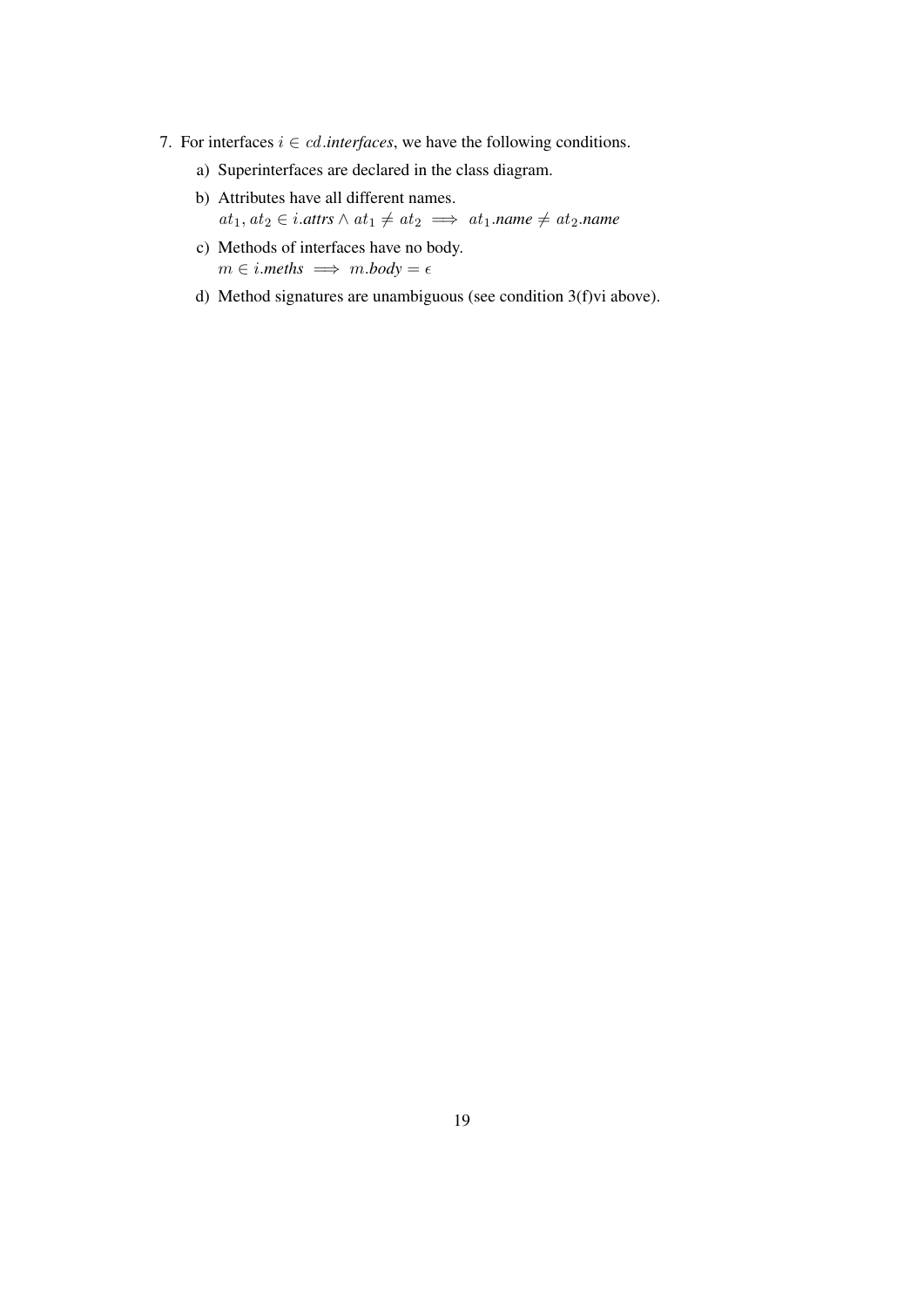- 7. For interfaces  $i \in cd$ .*interfaces*, we have the following conditions.
	- a) Superinterfaces are declared in the class diagram.
	- b) Attributes have all different names.  $at_1, at_2 \in i$ .attrs  $\wedge$   $at_1 \neq at_2 \implies at_1$ .name  $\neq at_2$ .name
	- c) Methods of interfaces have no body.  $m \in i$ *meths*  $\implies m \cdot body = \epsilon$
	- d) Method signatures are unambiguous (see condition 3(f)vi above).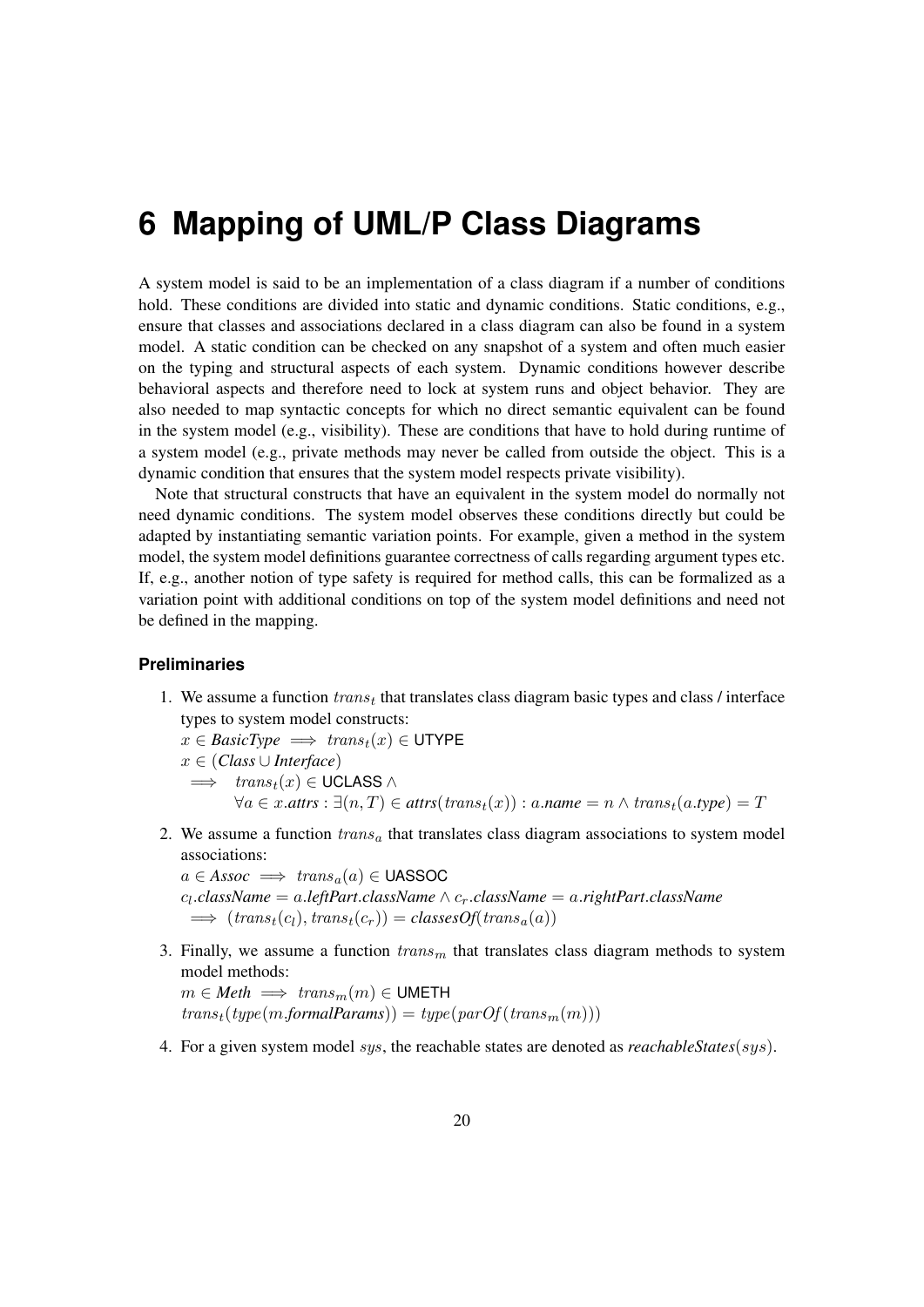## **6 Mapping of UML/P Class Diagrams**

A system model is said to be an implementation of a class diagram if a number of conditions hold. These conditions are divided into static and dynamic conditions. Static conditions, e.g., ensure that classes and associations declared in a class diagram can also be found in a system model. A static condition can be checked on any snapshot of a system and often much easier on the typing and structural aspects of each system. Dynamic conditions however describe behavioral aspects and therefore need to lock at system runs and object behavior. They are also needed to map syntactic concepts for which no direct semantic equivalent can be found in the system model (e.g., visibility). These are conditions that have to hold during runtime of a system model (e.g., private methods may never be called from outside the object. This is a dynamic condition that ensures that the system model respects private visibility).

Note that structural constructs that have an equivalent in the system model do normally not need dynamic conditions. The system model observes these conditions directly but could be adapted by instantiating semantic variation points. For example, given a method in the system model, the system model definitions guarantee correctness of calls regarding argument types etc. If, e.g., another notion of type safety is required for method calls, this can be formalized as a variation point with additional conditions on top of the system model definitions and need not be defined in the mapping.

#### **Preliminaries**

- 1. We assume a function  $trans_t$  that translates class diagram basic types and class / interface types to system model constructs:
	- $x \in BasicType \implies trans_t(x) \in \text{UTYPE}$ x ∈ (*Class* ∪ *Interface*)  $\implies$  trans<sub>t</sub> $(x) \in$  UCLASS  $\wedge$  $\forall a \in x$ .*attrs*:  $\exists (n,T) \in attrs(trans<sub>t</sub>(x)) : a.name = n \land trans<sub>t</sub>(a_type) = T$
- 2. We assume a function  $trans<sub>a</sub>$  that translates class diagram associations to system model associations:

 $a \in Assoc \implies trans_a(a) \in \text{UASSOC}$ cl .*className* = a.*leftPart*.*className* ∧ cr.*className* = a.*rightPart*.*className*  $\implies$   $(trans_t(c_l), trans_t(c_r)) = classesOf(trans_a(a))$ 

- 3. Finally, we assume a function  $trans<sub>m</sub>$  that translates class diagram methods to system model methods:  $m \in \text{Meth} \implies \text{trans}_m(m) \in \text{UMETH}$ transt(type(m.*formalParams*)) = type(parOf (transm(m)))
- 4. For a given system model sys, the reachable states are denoted as *reachableStates*(sys).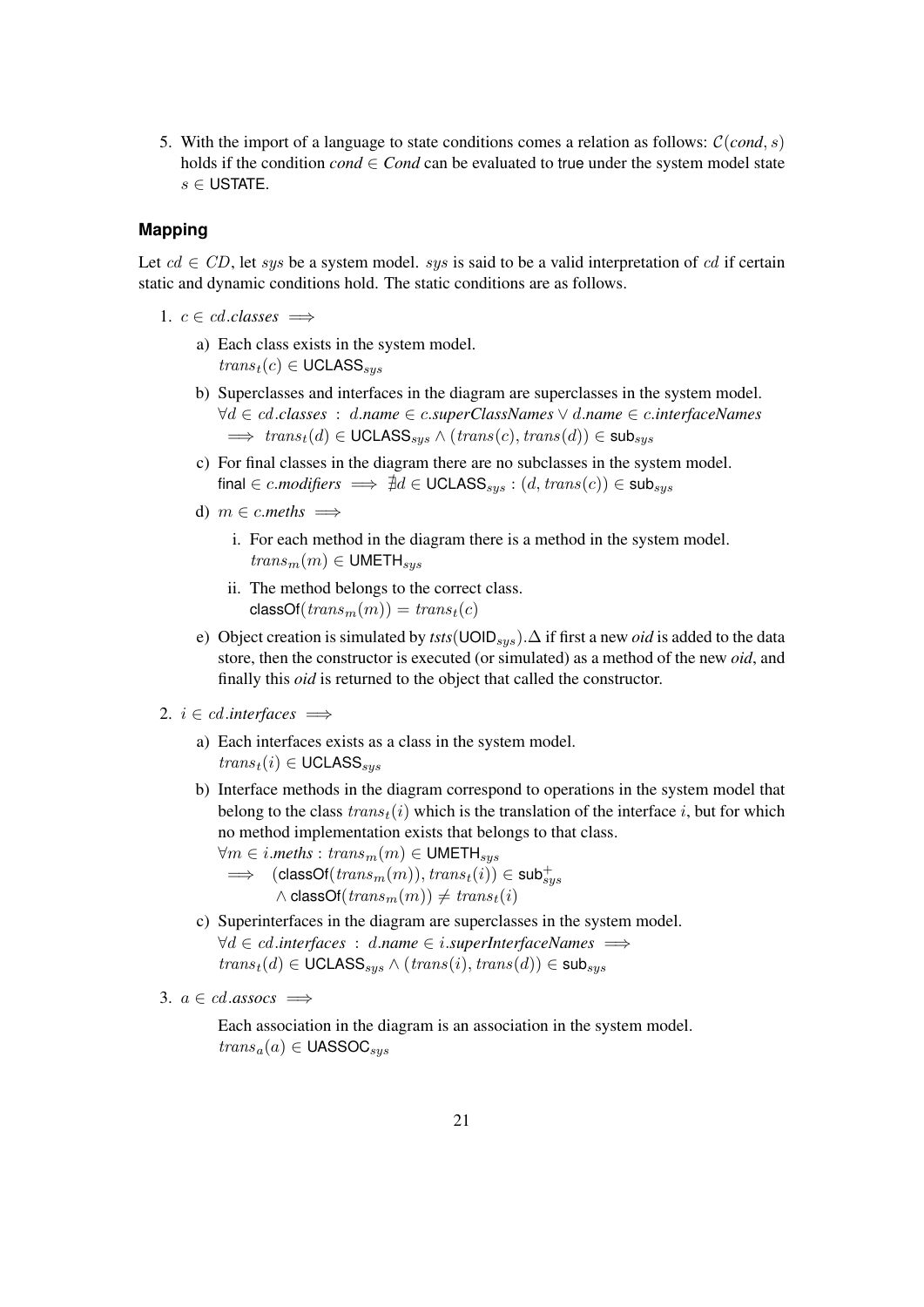5. With the import of a language to state conditions comes a relation as follows:  $C(cond, s)$ holds if the condition *cond*  $\in$  *Cond* can be evaluated to true under the system model state  $s \in$  USTATE.

#### **Mapping**

Let  $cd \in CD$ , let sys be a system model. sys is said to be a valid interpretation of cd if certain static and dynamic conditions hold. The static conditions are as follows.

- 1.  $c \in cd.classes \implies$ 
	- a) Each class exists in the system model.  $trans<sub>t</sub>(c) \in \text{UCLASS}_{sus}$
	- b) Superclasses and interfaces in the diagram are superclasses in the system model. ∀d ∈ cd.*classes* : d.*name* ∈ c.*superClassNames* ∨ d.*name* ∈ c.*interfaceNames*  $\implies trans_t(d) \in \text{UCLASS}_{sys} \land (trans(c), trans(d)) \in \text{sub}_{sys}$
	- c) For final classes in the diagram there are no subclasses in the system model. final ∈ c.modifiers  $\implies \nexists d \in \text{UCLASS}_{sys} : (d, trans(c)) \in \text{sub}_{sus}$
	- d)  $m \in c$ .*meths*  $\implies$ 
		- i. For each method in the diagram there is a method in the system model.  $trans<sub>m</sub>(m) \in \text{UMETH}_{sus}$
		- ii. The method belongs to the correct class.  $classOf(trains_m(m)) = trans<sub>t</sub>(c)$
	- e) Object creation is simulated by *tsts*(UOID<sub>sus</sub>).∆ if first a new *oid* is added to the data store, then the constructor is executed (or simulated) as a method of the new *oid*, and finally this *oid* is returned to the object that called the constructor.

#### 2.  $i \in cd$ .*interfaces*  $\implies$

- a) Each interfaces exists as a class in the system model.  $trans<sub>t</sub>(i) \in \text{UCLASS}_{sys}$
- b) Interface methods in the diagram correspond to operations in the system model that belong to the class  $trans<sub>t</sub>(i)$  which is the translation of the interface i, but for which no method implementation exists that belongs to that class.

 $\forall m \in i$ *meths* :  $trans_m(m) \in \text{UMETH}_{sys}$ 

- $\implies$  (classOf( $trans_m(m)$ ),  $trans_t(i)$ )  $\in$  sub $^{+}_{sys}$  $\wedge$  classOf(trans<sub>m</sub> $(m)) \neq trans_t(i)$
- c) Superinterfaces in the diagram are superclasses in the system model. ∀d ∈ cd.*interfaces* : d.*name* ∈ i.*superInterfaceNames* =⇒  $trans<sub>t</sub>(d) \in \text{UCLASS}_{sys} \land (trans(i), trans(d)) \in \text{sub}_{sys}$
- 3.  $a \in cd$ *assocs*  $\implies$

Each association in the diagram is an association in the system model.  $trans_a(a) \in UASSOC$ <sub>sus</sub>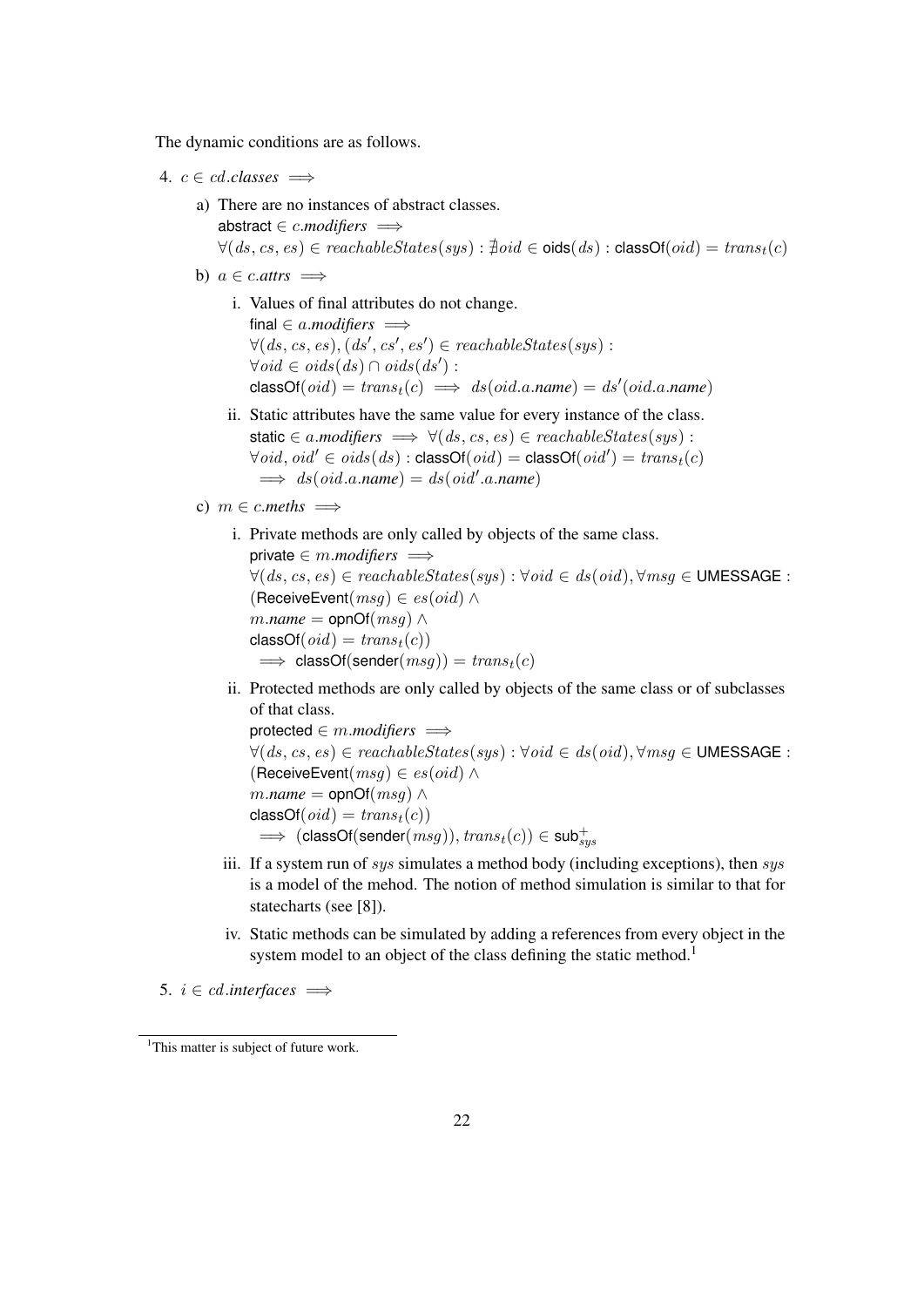The dynamic conditions are as follows.

4. 
$$
c \in cd.classes \implies
$$

- a) There are no instances of abstract classes. abstract ∈ *c.modifiers*  $\implies$  $\forall (ds, cs, es) \in reachableStates(sys) : \nexists \text{oid} \in \text{oids}(ds) : \text{classOf}(\text{oid}) = \text{trans}_t(c)$
- b)  $a \in c$ *attrs*  $\implies$ 
	- i. Values of final attributes do not change. final  $\in$  *a.modifiers*  $\implies$  $\forall (ds, cs, es), (ds', cs', es') \in reachableStates(sys)$ :  $\forall oid \in oids(ds) \cap oids(ds')$ :  $classOf(oid) = trans<sub>t</sub>(c) \implies ds(oid.a.name) = ds'(oid.a.name)$
	- ii. Static attributes have the same value for every instance of the class. static ∈ a.modifiers  $\implies$   $\forall$ (ds, cs, es) ∈ reachableStates(sys):  $\forall \textit{oid}, \textit{oid}' \in \textit{oids}(ds) : \textsf{classOf}(\textit{oid}) = \textsf{classOf}(\textit{oid}') = \textit{trans}_t(c)$  $\implies$  ds(oid.a.name) = ds(oid'.a.name)
- c)  $m \in c$ *meths*  $\implies$ 
	- i. Private methods are only called by objects of the same class. private  $\in$  *m.modifiers*  $\implies$  $\forall (ds, cs, es) \in reachableStates(sys) : \forall oid \in ds(oid), \forall msg \in UNESCO$ : (ReceiveEvent $(msg) \in es(oid) \land$  $m.name =$  opnOf( $msq)$ )  $classOf(oid) = trans<sub>t</sub>(c)$  $\implies$  classOf(sender( $msg$ )) =  $trans<sub>t</sub>(c)$
	- ii. Protected methods are only called by objects of the same class or of subclasses of that class.

protected ∈ m.*modifiers*  $\implies$  $\forall (ds, cs, es) \in reachableStates(sys): \forall oid \in ds(oid), \forall msg \in UMESSAGE:$ (ReceiveEvent $(msq) \in \text{es}(\text{oid}) \land$  $m.name =$  opnOf( $msg) \wedge$  $classOf(oid) = trans<sub>t</sub>(c)$  $\implies$  (classOf(sender $(msg)), trans_t(c)) \in \mathsf{sub}_{sys}^+$ 

- iii. If a system run of  $sys$  simulates a method body (including exceptions), then  $sys$ is a model of the mehod. The notion of method simulation is similar to that for statecharts (see [8]).
- iv. Static methods can be simulated by adding a references from every object in the system model to an object of the class defining the static method.<sup>1</sup>

5.  $i \in cd$ .*interfaces*  $\implies$ 

<sup>&</sup>lt;sup>1</sup>This matter is subject of future work.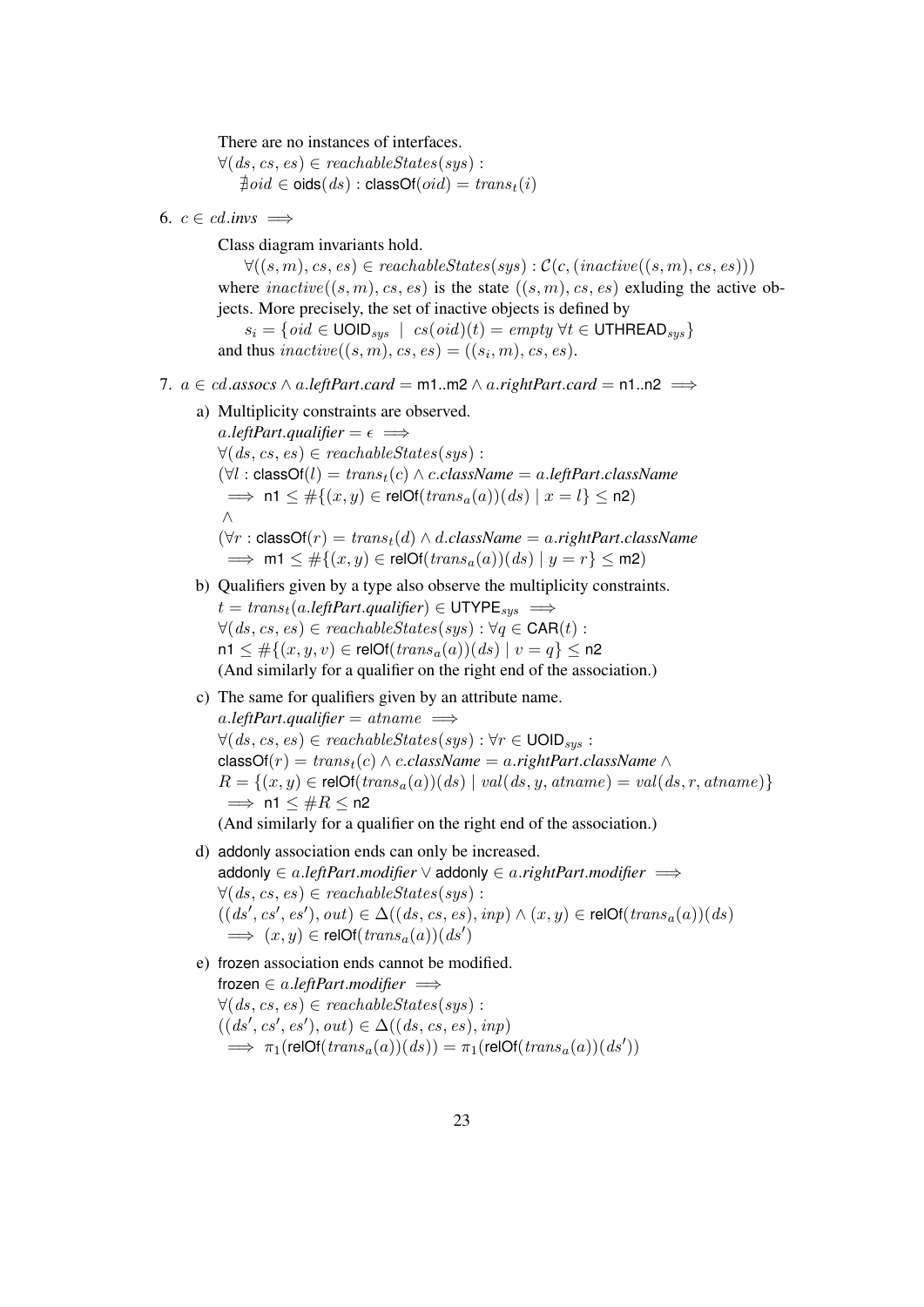There are no instances of interfaces.

 $\forall (ds, cs, es) \in reachableStates(sys)$ :  $\overline{\phi}$ *oid*  $\in$  oids $(ds)$  : classOf $(oid) = trans_t(i)$ 

6.  $c \in cd_{.}$ *invs*  $\implies$ 

Class diagram invariants hold.

 $\forall ((s, m), cs, es) \in reachableStates(sys) : C(c, (inactive((s, m), cs, es)))$ where  $\text{inactive}((s, m), \text{cs}, \text{es})$  is the state  $((s, m), \text{cs}, \text{es})$  exluding the active objects. More precisely, the set of inactive objects is defined by

 $s_i = \{oid \in \text{UOLD}_{sys} \mid cs(oid)(t) = empty \ \forall t \in \text{UTHREAD}_{sys}\}\$ and thus  $\mathit{inactive}((s, m), cs, es) = ((s_i, m), cs, es).$ 

- 7.  $a \in cd$ .*assocs* ∧ *a.leftPart.card* = m1.m2 ∧ *a.rightPart.card* = n1.n2
	- a) Multiplicity constraints are observed.

a.*leftPart.qualifier* =  $\epsilon$   $\implies$  $\forall (ds, cs, es) \in reachableStates(sus)$ :  $(\forall l : \text{classOf}(l) = \text{trans}_t(c) \land \text{c.className} = \text{a.leftPart.className}$  $\implies$  n1  $\leq \#\{(x, y) \in \text{relOf}(trans_a(a))(ds) \mid x = l\} \leq n2)$ ∧  $(\forall r : \text{classOf}(r) = \text{trans}_{t}(d) \land d.className = a.\text{rightPart.className}$  $\implies$  m1  $\leq \#\{(x, y) \in \text{relOf}(trans_a(a))(ds) \mid y = r\} \leq m2)$ 

- b) Qualifiers given by a type also observe the multiplicity constraints.  $t = trans<sub>t</sub>(a.leftPart. *qualifier*) \in \text{UTYPE}_{sus} \implies$  $\forall (ds, cs, es) \in reachableStates(sys) : \forall q \in CAR(t) :$  $n1 \leq \#\{(x, y, v) \in \text{relOf}(trans_a(a))(ds) \mid v = q\} \leq n2$ (And similarly for a qualifier on the right end of the association.)
- c) The same for qualifiers given by an attribute name.  $a$ *.leftPart.qualifier* =  $atname \implies$  $\forall (ds, cs, es) \in reachableStates(sys) : \forall r \in \text{UOD}_{sys}$ :  $classOf(r) = trans<sub>t</sub>(c) \wedge c.className = a.rightPart.className \wedge$  $R = \{(x, y) \in \text{relOf}(trans_a(a))(ds) \mid val(ds, y, at name) = val(ds, r, at name)\}$  $\implies$  n1  $\leq \#R \leq$  n2 (And similarly for a qualifier on the right end of the association.)
- d) addonly association ends can only be increased. addonly ∈ a.*leftPart*.*modifier* ∨ addonly ∈ a.*rightPart*.*modifier* =⇒  $\forall (ds, cs, es) \in reachableStates(sys)$ :
	- $((ds', cs', es'), out) \in \Delta((ds, cs, es), inp) \wedge (x, y) \in \text{relOf}(trans_a(a))(ds)$  $\implies$   $(x, y) \in \text{relOf}(trans_a(a))(ds')$
- e) frozen association ends cannot be modified. frozen ∈ a.*leftPart*.*modifier* =⇒  $\forall (ds, cs, es) \in reachableStates(sys)$ :  $((ds', cs', es'), out) \in \Delta((ds, cs, es), inp)$  $\implies \pi_1(\text{relOf}(trans_a(a))(ds)) = \pi_1(\text{relOf}(trans_a(a))(ds'))$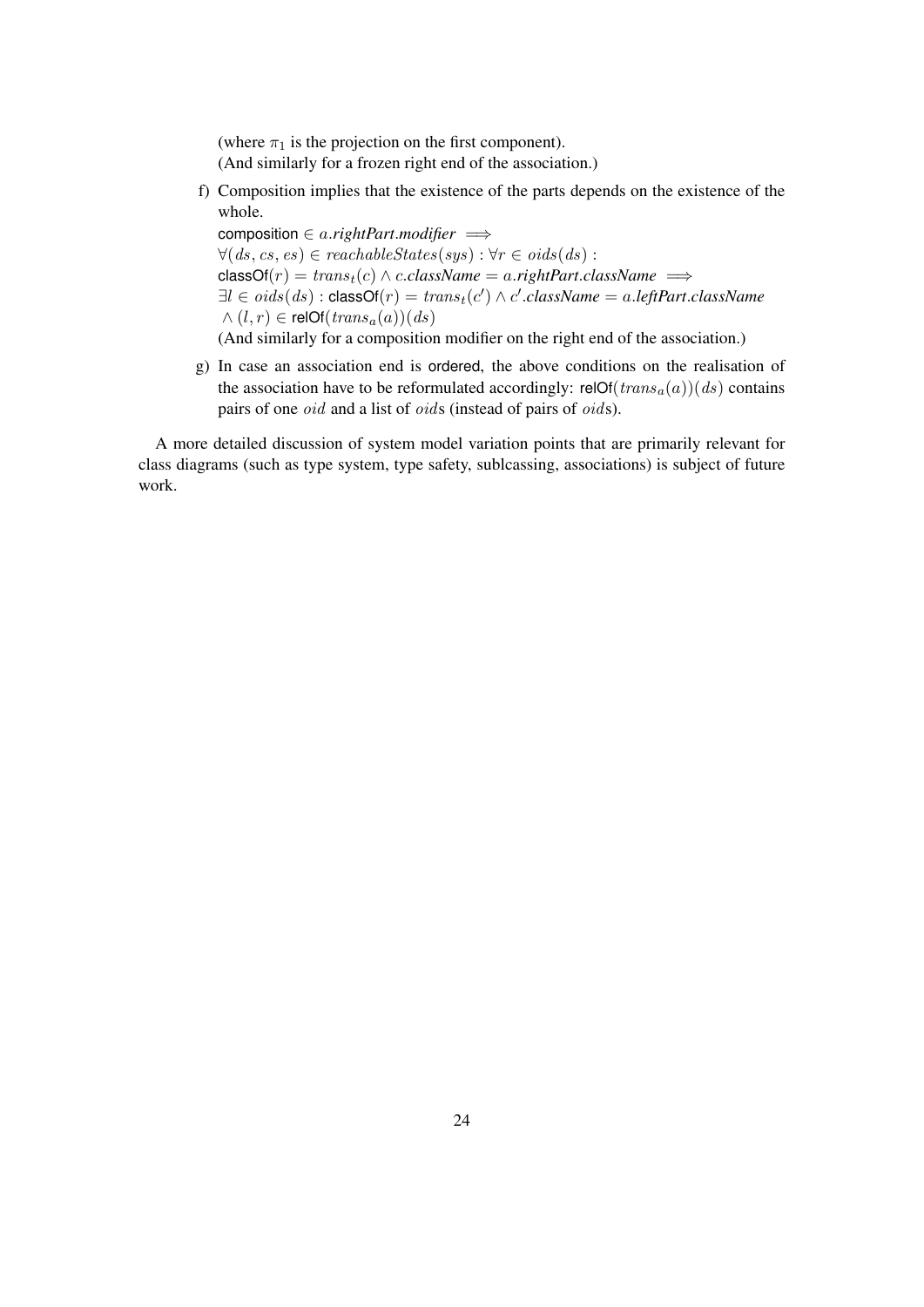(where  $\pi_1$  is the projection on the first component). (And similarly for a frozen right end of the association.)

f) Composition implies that the existence of the parts depends on the existence of the whole.

composition ∈ a.*rightPart*.*modifier* =⇒  $\forall (ds, cs, es) \in reachableStates(sys) : \forall r \in oids(ds) :$  $classOf(r) = trans<sub>t</sub>(c) \land c.className = a.rightPart.className \implies$  $\exists l \in \textit{oids}(ds) : \textsf{classOf}(r) = \textit{trans}_t(c') \land c'.\textit{className} = \textit{a}.\textit{leftPart}.\textit{className}$  $\wedge$   $(l, r) \in \text{relof}(trans_a(a))(ds)$ (And similarly for a composition modifier on the right end of the association.)

g) In case an association end is ordered, the above conditions on the realisation of the association have to be reformulated accordingly: relOf( $trans<sub>a</sub>(a)$ )(ds) contains pairs of one oid and a list of oids (instead of pairs of oids).

A more detailed discussion of system model variation points that are primarily relevant for class diagrams (such as type system, type safety, sublcassing, associations) is subject of future work.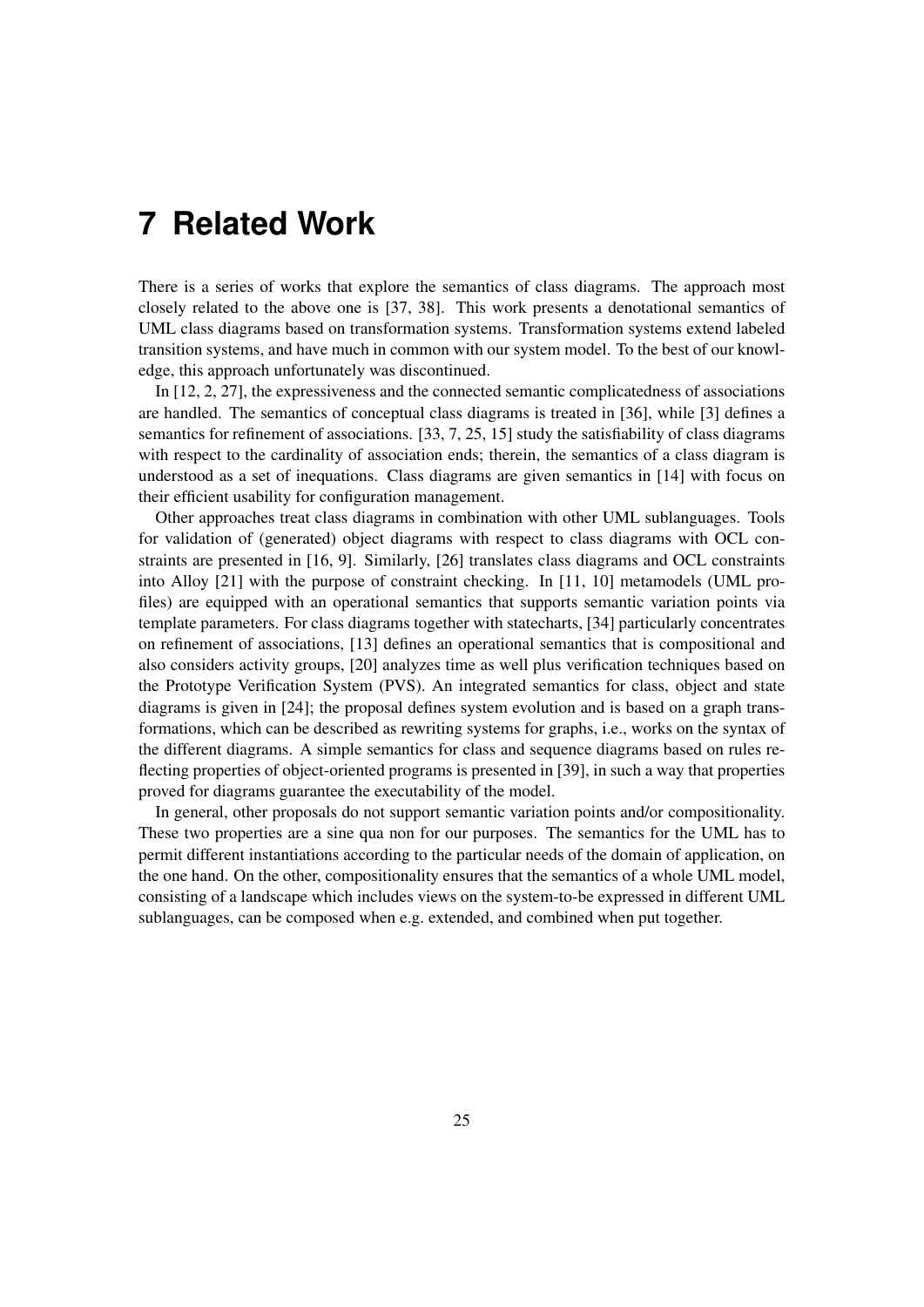## **7 Related Work**

There is a series of works that explore the semantics of class diagrams. The approach most closely related to the above one is [37, 38]. This work presents a denotational semantics of UML class diagrams based on transformation systems. Transformation systems extend labeled transition systems, and have much in common with our system model. To the best of our knowledge, this approach unfortunately was discontinued.

In [12, 2, 27], the expressiveness and the connected semantic complicatedness of associations are handled. The semantics of conceptual class diagrams is treated in [36], while [3] defines a semantics for refinement of associations. [33, 7, 25, 15] study the satisfiability of class diagrams with respect to the cardinality of association ends; therein, the semantics of a class diagram is understood as a set of inequations. Class diagrams are given semantics in [14] with focus on their efficient usability for configuration management.

Other approaches treat class diagrams in combination with other UML sublanguages. Tools for validation of (generated) object diagrams with respect to class diagrams with OCL constraints are presented in [16, 9]. Similarly, [26] translates class diagrams and OCL constraints into Alloy [21] with the purpose of constraint checking. In [11, 10] metamodels (UML profiles) are equipped with an operational semantics that supports semantic variation points via template parameters. For class diagrams together with statecharts, [34] particularly concentrates on refinement of associations, [13] defines an operational semantics that is compositional and also considers activity groups, [20] analyzes time as well plus verification techniques based on the Prototype Verification System (PVS). An integrated semantics for class, object and state diagrams is given in [24]; the proposal defines system evolution and is based on a graph transformations, which can be described as rewriting systems for graphs, i.e., works on the syntax of the different diagrams. A simple semantics for class and sequence diagrams based on rules reflecting properties of object-oriented programs is presented in [39], in such a way that properties proved for diagrams guarantee the executability of the model.

In general, other proposals do not support semantic variation points and/or compositionality. These two properties are a sine qua non for our purposes. The semantics for the UML has to permit different instantiations according to the particular needs of the domain of application, on the one hand. On the other, compositionality ensures that the semantics of a whole UML model, consisting of a landscape which includes views on the system-to-be expressed in different UML sublanguages, can be composed when e.g. extended, and combined when put together.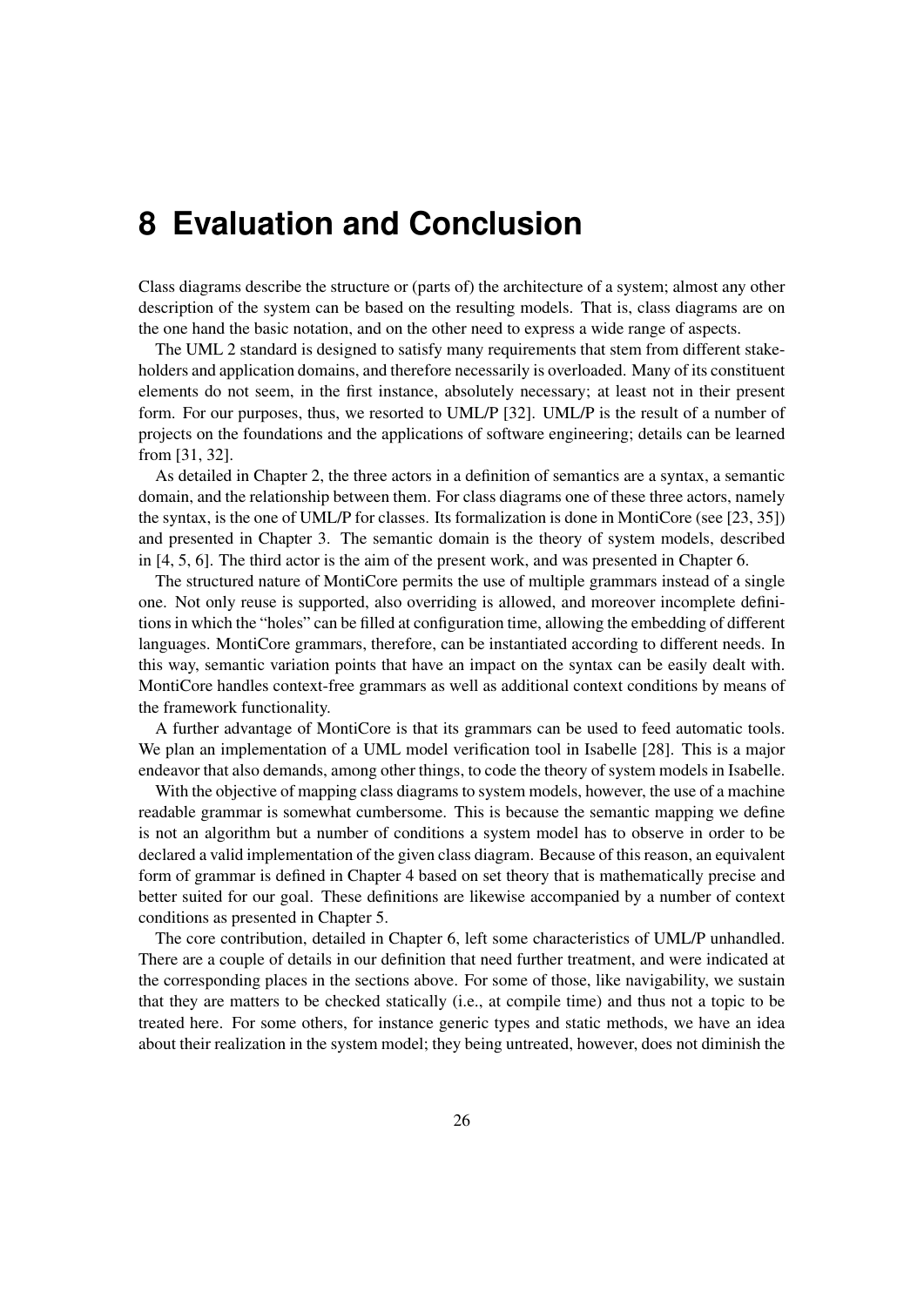## **8 Evaluation and Conclusion**

Class diagrams describe the structure or (parts of) the architecture of a system; almost any other description of the system can be based on the resulting models. That is, class diagrams are on the one hand the basic notation, and on the other need to express a wide range of aspects.

The UML 2 standard is designed to satisfy many requirements that stem from different stakeholders and application domains, and therefore necessarily is overloaded. Many of its constituent elements do not seem, in the first instance, absolutely necessary; at least not in their present form. For our purposes, thus, we resorted to UML/P [32]. UML/P is the result of a number of projects on the foundations and the applications of software engineering; details can be learned from [31, 32].

As detailed in Chapter 2, the three actors in a definition of semantics are a syntax, a semantic domain, and the relationship between them. For class diagrams one of these three actors, namely the syntax, is the one of UML/P for classes. Its formalization is done in MontiCore (see [23, 35]) and presented in Chapter 3. The semantic domain is the theory of system models, described in [4, 5, 6]. The third actor is the aim of the present work, and was presented in Chapter 6.

The structured nature of MontiCore permits the use of multiple grammars instead of a single one. Not only reuse is supported, also overriding is allowed, and moreover incomplete definitions in which the "holes" can be filled at configuration time, allowing the embedding of different languages. MontiCore grammars, therefore, can be instantiated according to different needs. In this way, semantic variation points that have an impact on the syntax can be easily dealt with. MontiCore handles context-free grammars as well as additional context conditions by means of the framework functionality.

A further advantage of MontiCore is that its grammars can be used to feed automatic tools. We plan an implementation of a UML model verification tool in Isabelle [28]. This is a major endeavor that also demands, among other things, to code the theory of system models in Isabelle.

With the objective of mapping class diagrams to system models, however, the use of a machine readable grammar is somewhat cumbersome. This is because the semantic mapping we define is not an algorithm but a number of conditions a system model has to observe in order to be declared a valid implementation of the given class diagram. Because of this reason, an equivalent form of grammar is defined in Chapter 4 based on set theory that is mathematically precise and better suited for our goal. These definitions are likewise accompanied by a number of context conditions as presented in Chapter 5.

The core contribution, detailed in Chapter 6, left some characteristics of UML/P unhandled. There are a couple of details in our definition that need further treatment, and were indicated at the corresponding places in the sections above. For some of those, like navigability, we sustain that they are matters to be checked statically (i.e., at compile time) and thus not a topic to be treated here. For some others, for instance generic types and static methods, we have an idea about their realization in the system model; they being untreated, however, does not diminish the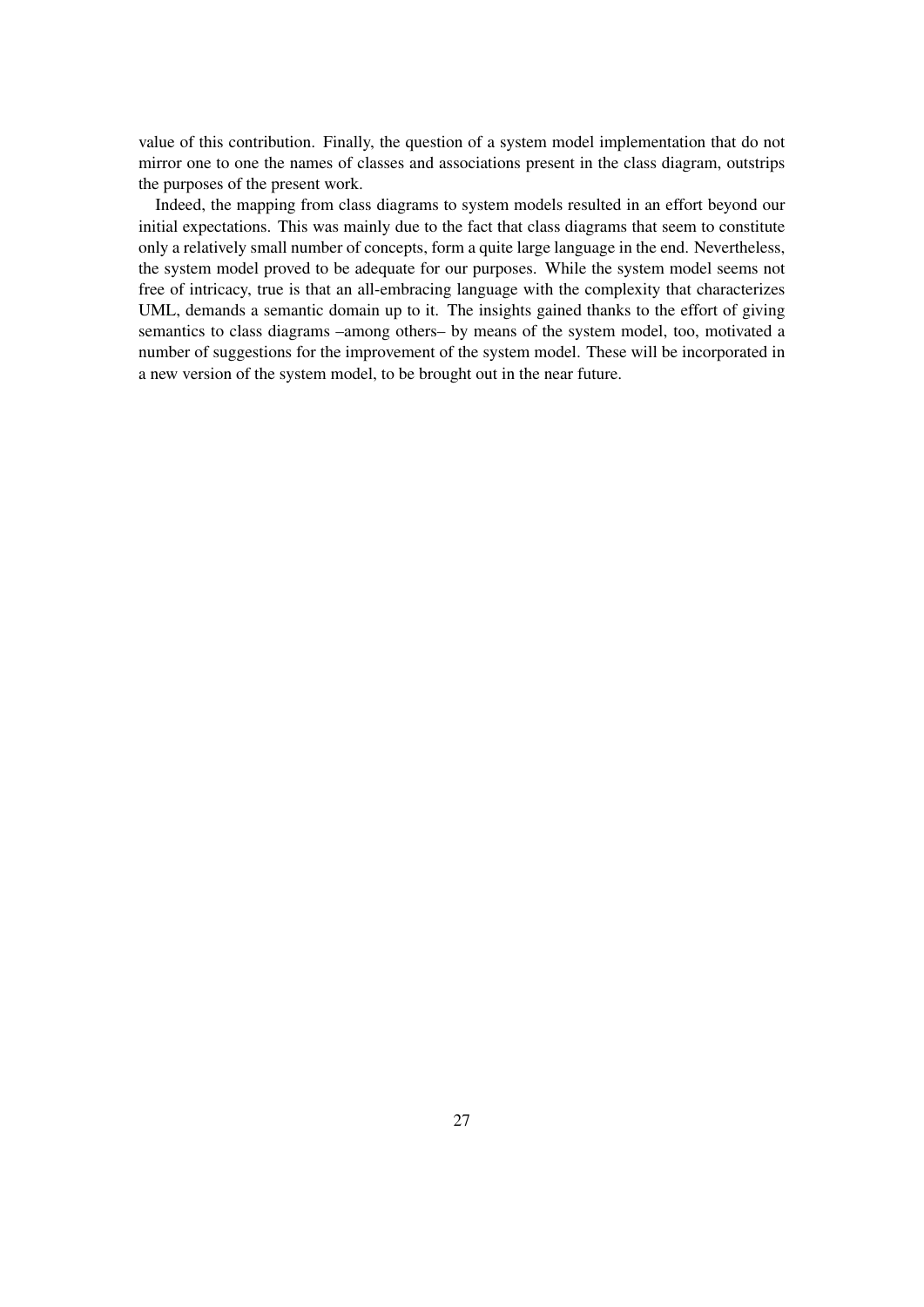value of this contribution. Finally, the question of a system model implementation that do not mirror one to one the names of classes and associations present in the class diagram, outstrips the purposes of the present work.

Indeed, the mapping from class diagrams to system models resulted in an effort beyond our initial expectations. This was mainly due to the fact that class diagrams that seem to constitute only a relatively small number of concepts, form a quite large language in the end. Nevertheless, the system model proved to be adequate for our purposes. While the system model seems not free of intricacy, true is that an all-embracing language with the complexity that characterizes UML, demands a semantic domain up to it. The insights gained thanks to the effort of giving semantics to class diagrams –among others– by means of the system model, too, motivated a number of suggestions for the improvement of the system model. These will be incorporated in a new version of the system model, to be brought out in the near future.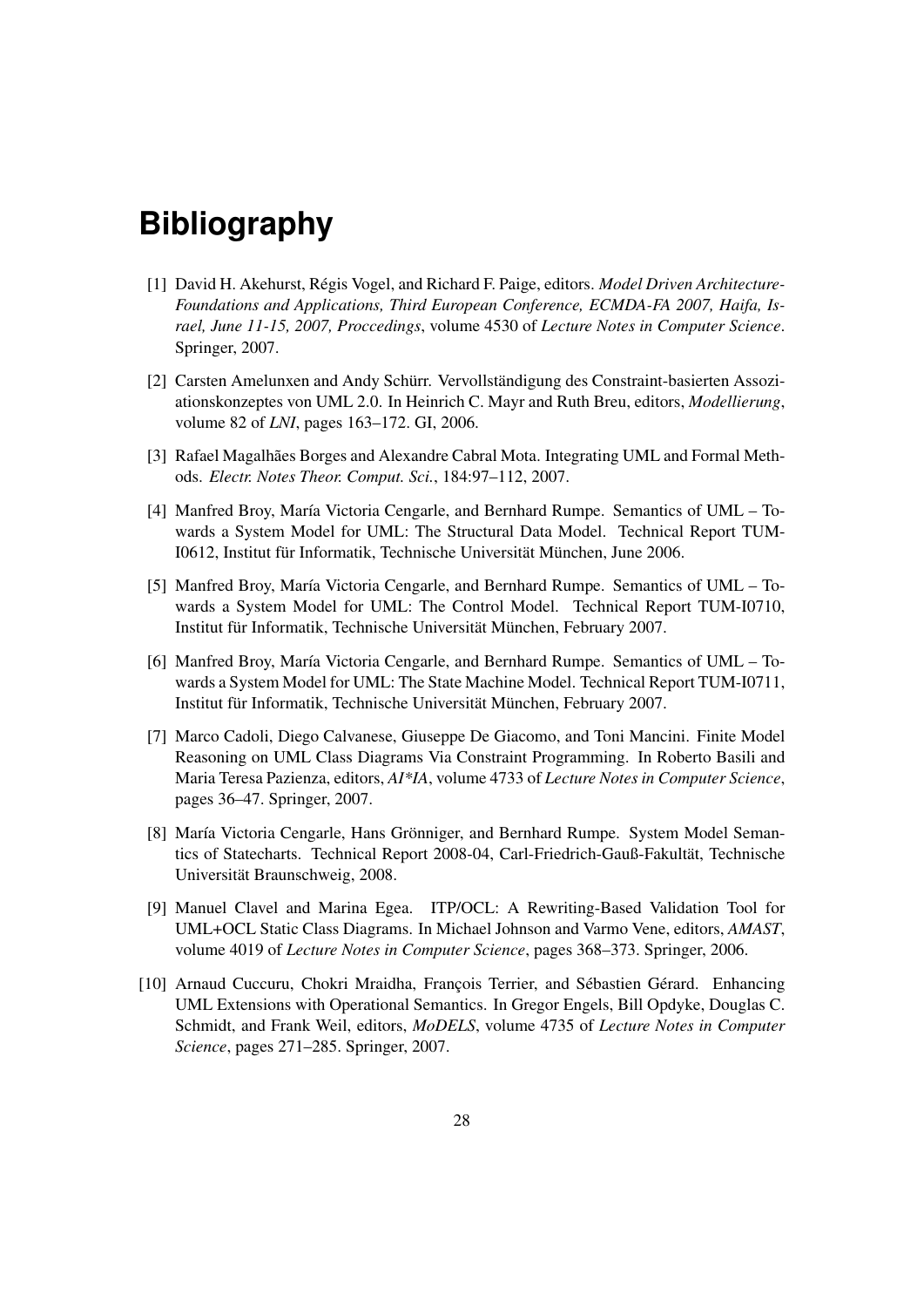## **Bibliography**

- [1] David H. Akehurst, Régis Vogel, and Richard F. Paige, editors. *Model Driven Architecture-Foundations and Applications, Third European Conference, ECMDA-FA 2007, Haifa, Israel, June 11-15, 2007, Proccedings*, volume 4530 of *Lecture Notes in Computer Science*. Springer, 2007.
- [2] Carsten Amelunxen and Andy Schürr. Vervollständigung des Constraint-basierten Assoziationskonzeptes von UML 2.0. In Heinrich C. Mayr and Ruth Breu, editors, *Modellierung*, volume 82 of *LNI*, pages 163–172. GI, 2006.
- [3] Rafael Magalhães Borges and Alexandre Cabral Mota. Integrating UML and Formal Methods. *Electr. Notes Theor. Comput. Sci.*, 184:97–112, 2007.
- [4] Manfred Broy, María Victoria Cengarle, and Bernhard Rumpe. Semantics of UML Towards a System Model for UML: The Structural Data Model. Technical Report TUM-I0612, Institut für Informatik, Technische Universität München, June 2006.
- [5] Manfred Broy, María Victoria Cengarle, and Bernhard Rumpe. Semantics of UML Towards a System Model for UML: The Control Model. Technical Report TUM-I0710, Institut für Informatik, Technische Universität München, February 2007.
- [6] Manfred Broy, María Victoria Cengarle, and Bernhard Rumpe. Semantics of UML Towards a System Model for UML: The State Machine Model. Technical Report TUM-I0711, Institut für Informatik, Technische Universität München, February 2007.
- [7] Marco Cadoli, Diego Calvanese, Giuseppe De Giacomo, and Toni Mancini. Finite Model Reasoning on UML Class Diagrams Via Constraint Programming. In Roberto Basili and Maria Teresa Pazienza, editors, *AI\*IA*, volume 4733 of *Lecture Notes in Computer Science*, pages 36–47. Springer, 2007.
- [8] María Victoria Cengarle, Hans Grönniger, and Bernhard Rumpe. System Model Semantics of Statecharts. Technical Report 2008-04, Carl-Friedrich-Gauß-Fakultät, Technische Universität Braunschweig, 2008.
- [9] Manuel Clavel and Marina Egea. ITP/OCL: A Rewriting-Based Validation Tool for UML+OCL Static Class Diagrams. In Michael Johnson and Varmo Vene, editors, *AMAST*, volume 4019 of *Lecture Notes in Computer Science*, pages 368–373. Springer, 2006.
- [10] Arnaud Cuccuru, Chokri Mraidha, François Terrier, and Sébastien Gérard. Enhancing UML Extensions with Operational Semantics. In Gregor Engels, Bill Opdyke, Douglas C. Schmidt, and Frank Weil, editors, *MoDELS*, volume 4735 of *Lecture Notes in Computer Science*, pages 271–285. Springer, 2007.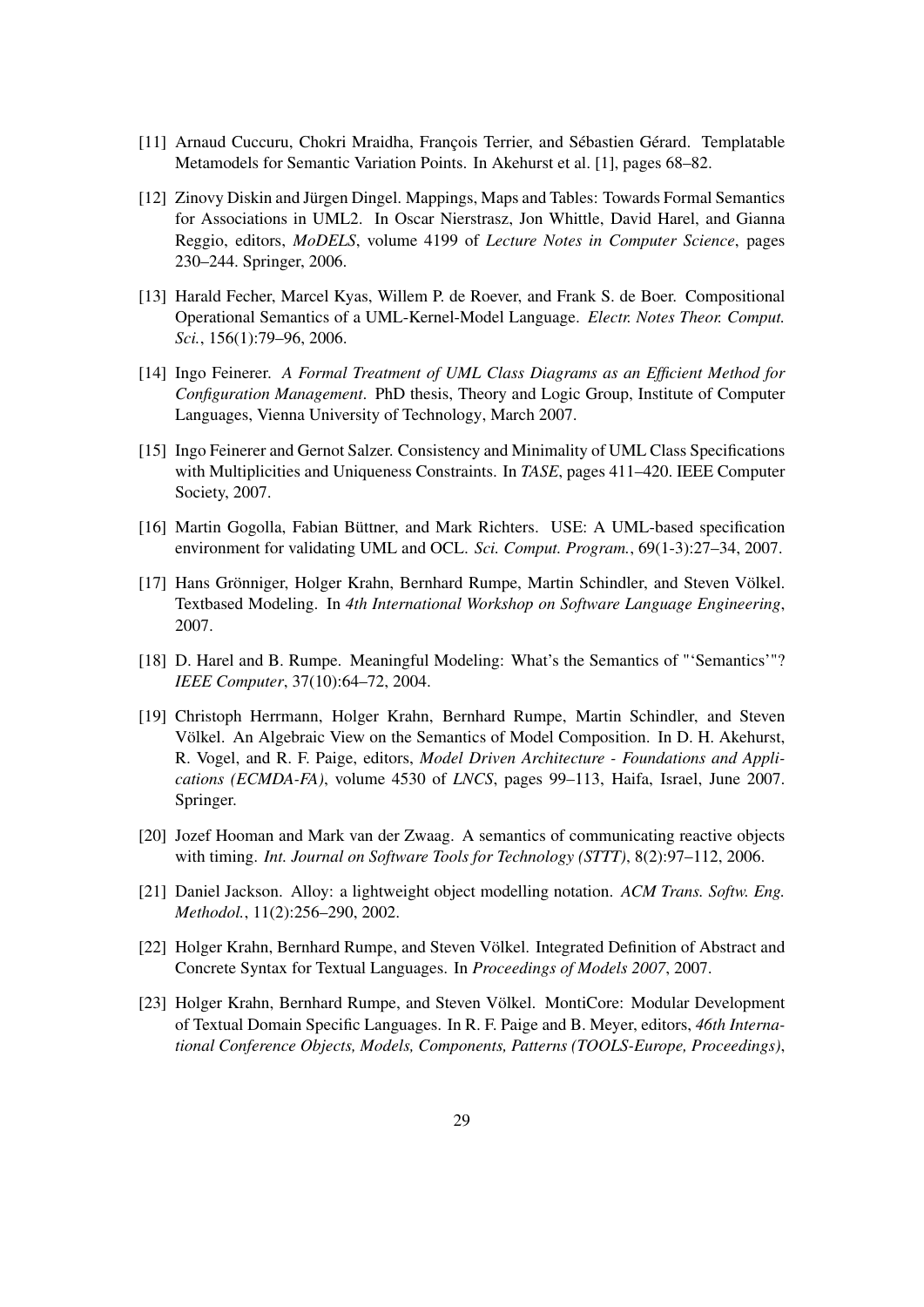- [11] Arnaud Cuccuru, Chokri Mraidha, François Terrier, and Sébastien Gérard. Templatable Metamodels for Semantic Variation Points. In Akehurst et al. [1], pages 68–82.
- [12] Zinovy Diskin and Jürgen Dingel. Mappings, Maps and Tables: Towards Formal Semantics for Associations in UML2. In Oscar Nierstrasz, Jon Whittle, David Harel, and Gianna Reggio, editors, *MoDELS*, volume 4199 of *Lecture Notes in Computer Science*, pages 230–244. Springer, 2006.
- [13] Harald Fecher, Marcel Kyas, Willem P. de Roever, and Frank S. de Boer. Compositional Operational Semantics of a UML-Kernel-Model Language. *Electr. Notes Theor. Comput. Sci.*, 156(1):79–96, 2006.
- [14] Ingo Feinerer. *A Formal Treatment of UML Class Diagrams as an Efficient Method for Configuration Management*. PhD thesis, Theory and Logic Group, Institute of Computer Languages, Vienna University of Technology, March 2007.
- [15] Ingo Feinerer and Gernot Salzer. Consistency and Minimality of UML Class Specifications with Multiplicities and Uniqueness Constraints. In *TASE*, pages 411–420. IEEE Computer Society, 2007.
- [16] Martin Gogolla, Fabian Büttner, and Mark Richters. USE: A UML-based specification environment for validating UML and OCL. *Sci. Comput. Program.*, 69(1-3):27–34, 2007.
- [17] Hans Grönniger, Holger Krahn, Bernhard Rumpe, Martin Schindler, and Steven Völkel. Textbased Modeling. In *4th International Workshop on Software Language Engineering*, 2007.
- [18] D. Harel and B. Rumpe. Meaningful Modeling: What's the Semantics of "'Semantics'"? *IEEE Computer*, 37(10):64–72, 2004.
- [19] Christoph Herrmann, Holger Krahn, Bernhard Rumpe, Martin Schindler, and Steven Völkel. An Algebraic View on the Semantics of Model Composition. In D. H. Akehurst, R. Vogel, and R. F. Paige, editors, *Model Driven Architecture - Foundations and Applications (ECMDA-FA)*, volume 4530 of *LNCS*, pages 99–113, Haifa, Israel, June 2007. Springer.
- [20] Jozef Hooman and Mark van der Zwaag. A semantics of communicating reactive objects with timing. *Int. Journal on Software Tools for Technology (STTT)*, 8(2):97–112, 2006.
- [21] Daniel Jackson. Alloy: a lightweight object modelling notation. *ACM Trans. Softw. Eng. Methodol.*, 11(2):256–290, 2002.
- [22] Holger Krahn, Bernhard Rumpe, and Steven Völkel. Integrated Definition of Abstract and Concrete Syntax for Textual Languages. In *Proceedings of Models 2007*, 2007.
- [23] Holger Krahn, Bernhard Rumpe, and Steven Völkel. MontiCore: Modular Development of Textual Domain Specific Languages. In R. F. Paige and B. Meyer, editors, *46th International Conference Objects, Models, Components, Patterns (TOOLS-Europe, Proceedings)*,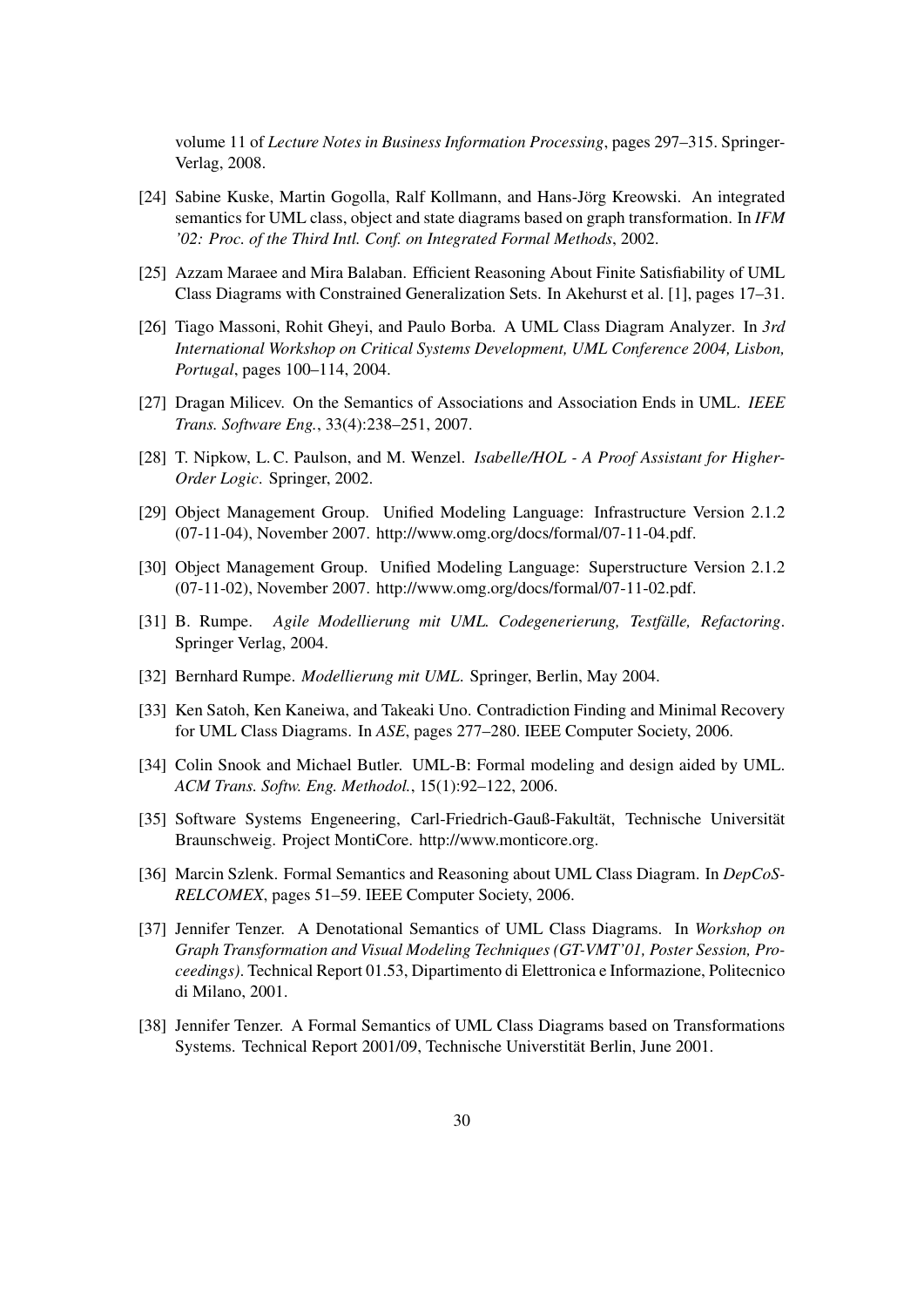volume 11 of *Lecture Notes in Business Information Processing*, pages 297–315. Springer-Verlag, 2008.

- [24] Sabine Kuske, Martin Gogolla, Ralf Kollmann, and Hans-Jörg Kreowski. An integrated semantics for UML class, object and state diagrams based on graph transformation. In *IFM '02: Proc. of the Third Intl. Conf. on Integrated Formal Methods*, 2002.
- [25] Azzam Maraee and Mira Balaban. Efficient Reasoning About Finite Satisfiability of UML Class Diagrams with Constrained Generalization Sets. In Akehurst et al. [1], pages 17–31.
- [26] Tiago Massoni, Rohit Gheyi, and Paulo Borba. A UML Class Diagram Analyzer. In *3rd International Workshop on Critical Systems Development, UML Conference 2004, Lisbon, Portugal*, pages 100–114, 2004.
- [27] Dragan Milicev. On the Semantics of Associations and Association Ends in UML. *IEEE Trans. Software Eng.*, 33(4):238–251, 2007.
- [28] T. Nipkow, L. C. Paulson, and M. Wenzel. *Isabelle/HOL A Proof Assistant for Higher-Order Logic*. Springer, 2002.
- [29] Object Management Group. Unified Modeling Language: Infrastructure Version 2.1.2 (07-11-04), November 2007. http://www.omg.org/docs/formal/07-11-04.pdf.
- [30] Object Management Group. Unified Modeling Language: Superstructure Version 2.1.2 (07-11-02), November 2007. http://www.omg.org/docs/formal/07-11-02.pdf.
- [31] B. Rumpe. *Agile Modellierung mit UML. Codegenerierung, Testfälle, Refactoring*. Springer Verlag, 2004.
- [32] Bernhard Rumpe. *Modellierung mit UML*. Springer, Berlin, May 2004.
- [33] Ken Satoh, Ken Kaneiwa, and Takeaki Uno. Contradiction Finding and Minimal Recovery for UML Class Diagrams. In *ASE*, pages 277–280. IEEE Computer Society, 2006.
- [34] Colin Snook and Michael Butler. UML-B: Formal modeling and design aided by UML. *ACM Trans. Softw. Eng. Methodol.*, 15(1):92–122, 2006.
- [35] Software Systems Engeneering, Carl-Friedrich-Gauß-Fakultät, Technische Universität Braunschweig. Project MontiCore. http://www.monticore.org.
- [36] Marcin Szlenk. Formal Semantics and Reasoning about UML Class Diagram. In *DepCoS-RELCOMEX*, pages 51–59. IEEE Computer Society, 2006.
- [37] Jennifer Tenzer. A Denotational Semantics of UML Class Diagrams. In *Workshop on Graph Transformation and Visual Modeling Techniques (GT-VMT'01, Poster Session, Proceedings)*. Technical Report 01.53, Dipartimento di Elettronica e Informazione, Politecnico di Milano, 2001.
- [38] Jennifer Tenzer. A Formal Semantics of UML Class Diagrams based on Transformations Systems. Technical Report 2001/09, Technische Universtität Berlin, June 2001.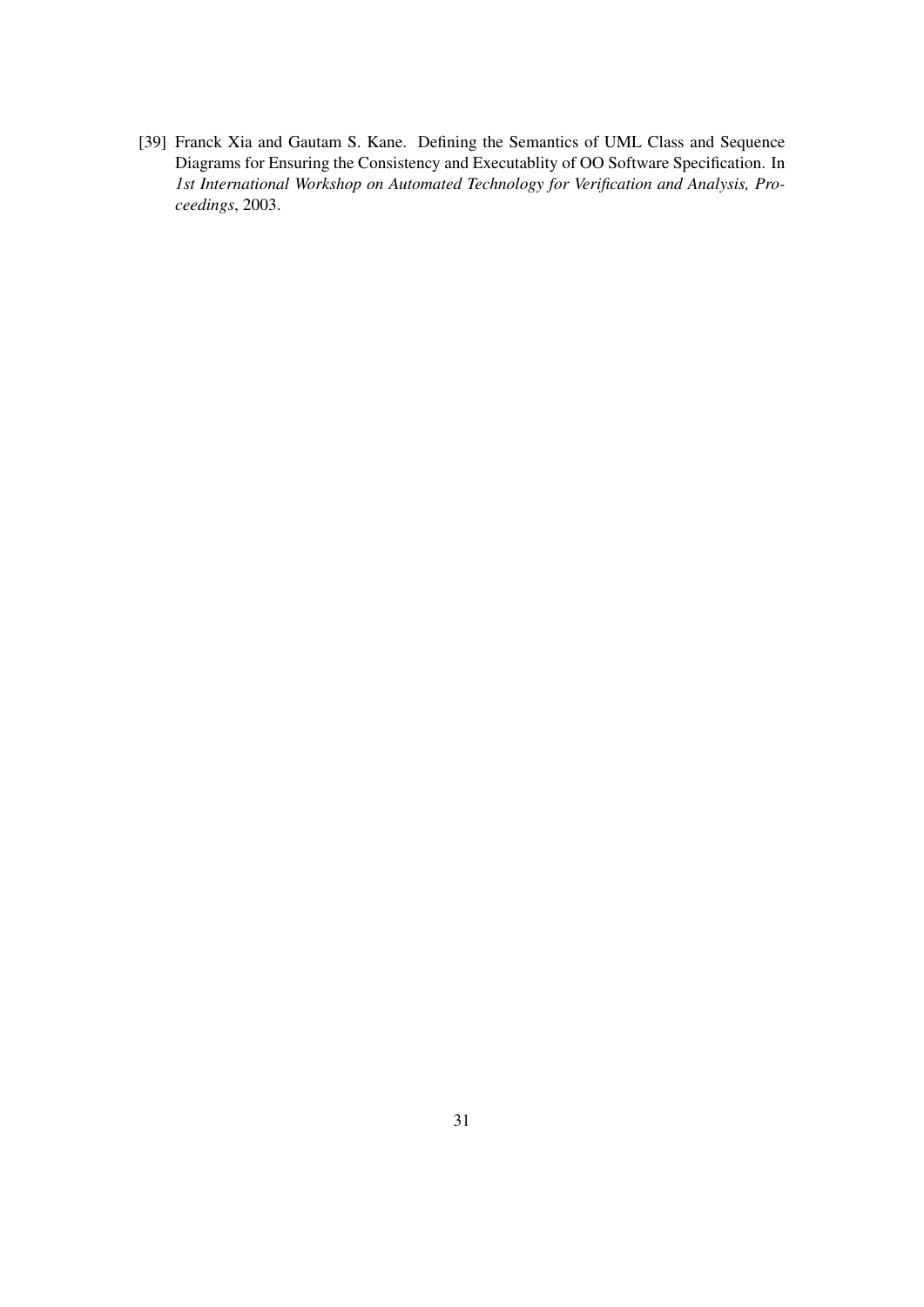[39] Franck Xia and Gautam S. Kane. Defining the Semantics of UML Class and Sequence Diagrams for Ensuring the Consistency and Executablity of OO Software Specification. In *1st International Workshop on Automated Technology for Verification and Analysis, Proceedings*, 2003.